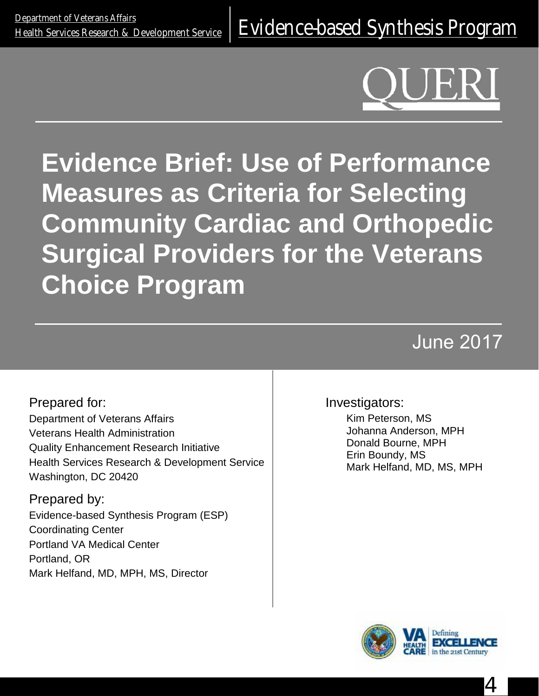**Evidence Brief: Use of Performance Measures as Criteria for Selecting Community Cardiac and Orthopedic Surgical Providers for the Veterans Choice Program**

# June 2017

Prepared for: Department of Veterans Affairs Veterans Health Administration Quality Enhancement Research Initiative Health Services Research & Development Service Washington, DC 20420

Prepared by: Evidence-based Synthesis Program (ESP) Coordinating Center Portland VA Medical Center Portland, OR Mark Helfand, MD, MPH, MS, Director

#### Investigators:

Kim Peterson, MS Johanna Anderson, MPH Donald Bourne, MPH Erin Boundy, MS Mark Helfand, MD, MS, MPH



4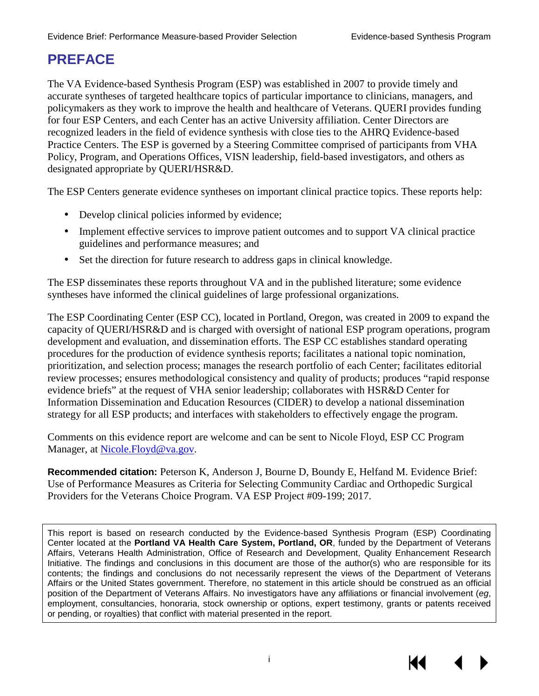### **PREFACE**

The VA Evidence-based Synthesis Program (ESP) was established in 2007 to provide timely and accurate syntheses of targeted healthcare topics of particular importance to clinicians, managers, and policymakers as they work to improve the health and healthcare of Veterans. QUERI provides funding for four ESP Centers, and each Center has an active University affiliation. Center Directors are recognized leaders in the field of evidence synthesis with close ties to the AHRQ Evidence-based Practice Centers. The ESP is governed by a Steering Committee comprised of participants from VHA Policy, Program, and Operations Offices, VISN leadership, field-based investigators, and others as designated appropriate by QUERI/HSR&D.

The ESP Centers generate evidence syntheses on important clinical practice topics. These reports help:

- Develop clinical policies informed by evidence;
- Implement effective services to improve patient outcomes and to support VA clinical practice guidelines and performance measures; and
- Set the direction for future research to address gaps in clinical knowledge.

The ESP disseminates these reports throughout VA and in the published literature; some evidence syntheses have informed the clinical guidelines of large professional organizations.

The ESP Coordinating Center (ESP CC), located in Portland, Oregon, was created in 2009 to expand the capacity of QUERI/HSR&D and is charged with oversight of national ESP program operations, program development and evaluation, and dissemination efforts. The ESP CC establishes standard operating procedures for the production of evidence synthesis reports; facilitates a national topic nomination, prioritization, and selection process; manages the research portfolio of each Center; facilitates editorial review processes; ensures methodological consistency and quality of products; produces "rapid response evidence briefs" at the request of VHA senior leadership; collaborates with HSR&D Center for Information Dissemination and Education Resources (CIDER) to develop a national dissemination strategy for all ESP products; and interfaces with stakeholders to effectively engage the program.

Comments on this evidence report are welcome and can be sent to Nicole Floyd, ESP CC Program Manager, at [Nicole.Floyd@va.gov.](mailto:Nicole.Floyd@va.gov)

**Recommended citation:** Peterson K, Anderson J, Bourne D, Boundy E, Helfand M. Evidence Brief: Use of Performance Measures as Criteria for Selecting Community Cardiac and Orthopedic Surgical Providers for the Veterans Choice Program. VA ESP Project #09-199; 2017.

This report is based on research conducted by the Evidence-based Synthesis Program (ESP) Coordinating Center located at the **Portland VA Health Care System, Portland, OR**, funded by the Department of Veterans Affairs, Veterans Health Administration, Office of Research and Development, Quality Enhancement Research Initiative. The findings and conclusions in this document are those of the author(s) who are responsible for its contents; the findings and conclusions do not necessarily represent the views of the Department of Veterans Affairs or the United States government. Therefore, no statement in this article should be construed as an official position of the Department of Veterans Affairs. No investigators have any affiliations or financial involvement (*eg*, employment, consultancies, honoraria, stock ownership or options, expert testimony, grants or patents received or pending, or royalties) that conflict with material presented in the report.

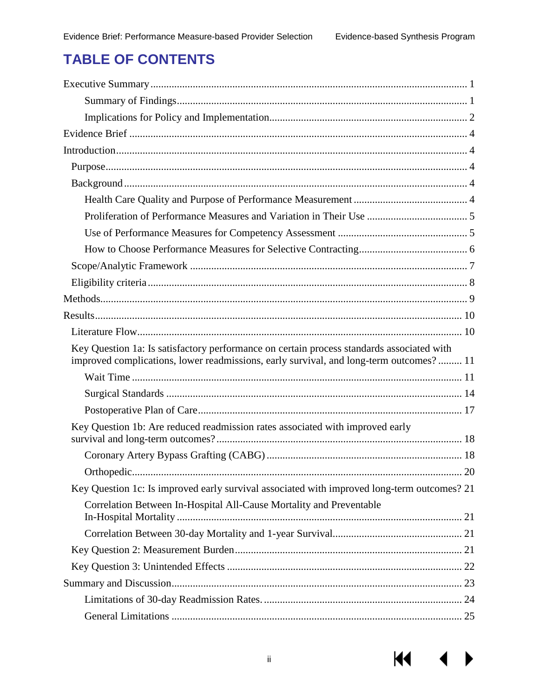$M \rightarrow$ 

### **TABLE OF CONTENTS**

| Key Question 1a: Is satisfactory performance on certain process standards associated with<br>improved complications, lower readmissions, early survival, and long-term outcomes? 11 |  |
|-------------------------------------------------------------------------------------------------------------------------------------------------------------------------------------|--|
|                                                                                                                                                                                     |  |
|                                                                                                                                                                                     |  |
|                                                                                                                                                                                     |  |
| Key Question 1b: Are reduced readmission rates associated with improved early                                                                                                       |  |
|                                                                                                                                                                                     |  |
|                                                                                                                                                                                     |  |
| Key Question 1c: Is improved early survival associated with improved long-term outcomes? 21                                                                                         |  |
| Correlation Between In-Hospital All-Cause Mortality and Preventable                                                                                                                 |  |
|                                                                                                                                                                                     |  |
|                                                                                                                                                                                     |  |
|                                                                                                                                                                                     |  |
|                                                                                                                                                                                     |  |
|                                                                                                                                                                                     |  |
|                                                                                                                                                                                     |  |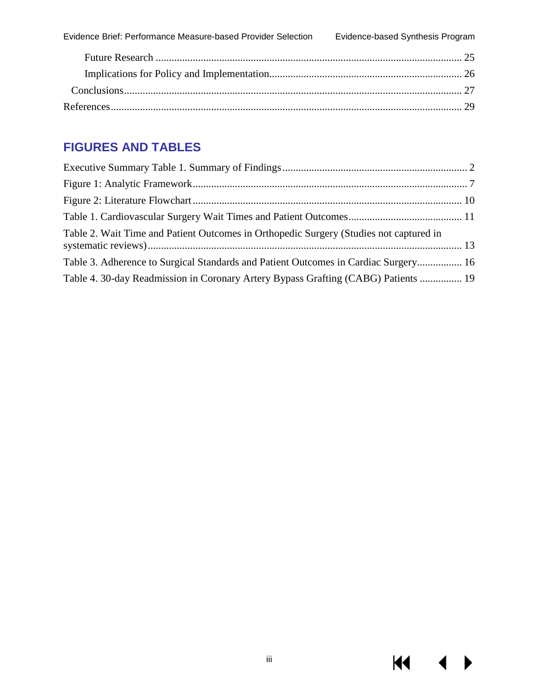### **FIGURES AND TABLES**

| Table 2. Wait Time and Patient Outcomes in Orthopedic Surgery (Studies not captured in |  |
|----------------------------------------------------------------------------------------|--|
| Table 3. Adherence to Surgical Standards and Patient Outcomes in Cardiac Surgery 16    |  |
| Table 4. 30-day Readmission in Coronary Artery Bypass Grafting (CABG) Patients  19     |  |

 $M \cdot 1$ 

 $\blacktriangleright$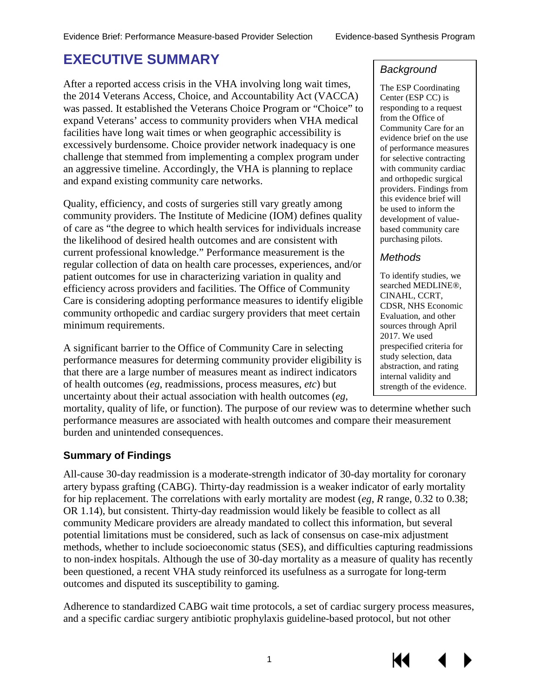### <span id="page-4-0"></span>**EXECUTIVE SUMMARY**

After a reported access crisis in the VHA involving long wait times, the 2014 Veterans Access, Choice, and Accountability Act (VACCA) was passed. It established the Veterans Choice Program or "Choice" to expand Veterans' access to community providers when VHA medical facilities have long wait times or when geographic accessibility is excessively burdensome. Choice provider network inadequacy is one challenge that stemmed from implementing a complex program under an aggressive timeline. Accordingly, the VHA is planning to replace and expand existing community care networks.

Quality, efficiency, and costs of surgeries still vary greatly among community providers. The Institute of Medicine (IOM) defines quality of care as "the degree to which health services for individuals increase the likelihood of desired health outcomes and are consistent with current professional knowledge." Performance measurement is the regular collection of data on health care processes, experiences, and/or patient outcomes for use in characterizing variation in quality and efficiency across providers and facilities. The Office of Community Care is considering adopting performance measures to identify eligible community orthopedic and cardiac surgery providers that meet certain minimum requirements.

A significant barrier to the Office of Community Care in selecting performance measures for determing community provider eligibility is that there are a large number of measures meant as indirect indicators of health outcomes (*eg*, readmissions, process measures, *etc*) but uncertainty about their actual association with health outcomes (*eg*,

mortality, quality of life, or function). The purpose of our review was to determine whether such performance measures are associated with health outcomes and compare their measurement burden and unintended consequences.

#### <span id="page-4-1"></span>**Summary of Findings**

All-cause 30-day readmission is a moderate-strength indicator of 30-day mortality for coronary artery bypass grafting (CABG). Thirty-day readmission is a weaker indicator of early mortality for hip replacement. The correlations with early mortality are modest (*eg*, *R* range, 0.32 to 0.38; OR 1.14), but consistent. Thirty-day readmission would likely be feasible to collect as all community Medicare providers are already mandated to collect this information, but several potential limitations must be considered, such as lack of consensus on case-mix adjustment methods, whether to include socioeconomic status (SES), and difficulties capturing readmissions to non-index hospitals. Although the use of 30-day mortality as a measure of quality has recently been questioned, a recent VHA study reinforced its usefulness as a surrogate for long-term outcomes and disputed its susceptibility to gaming.

Adherence to standardized CABG wait time protocols, a set of cardiac surgery process measures, and a specific cardiac surgery antibiotic prophylaxis guideline-based protocol, but not other

#### *Background*

The ESP Coordinating Center (ESP CC) is responding to a request from the Office of Community Care for an evidence brief on the use of performance measures for selective contracting with community cardiac and orthopedic surgical providers. Findings from this evidence brief will be used to inform the development of valuebased community care purchasing pilots.

#### *Methods*

КЮ

To identify studies, we searched MEDLINE®, CINAHL, CCRT, CDSR, NHS Economic Evaluation, and other sources through April 2017. We used prespecified criteria for study selection, data abstraction, and rating internal validity and strength of the evidence.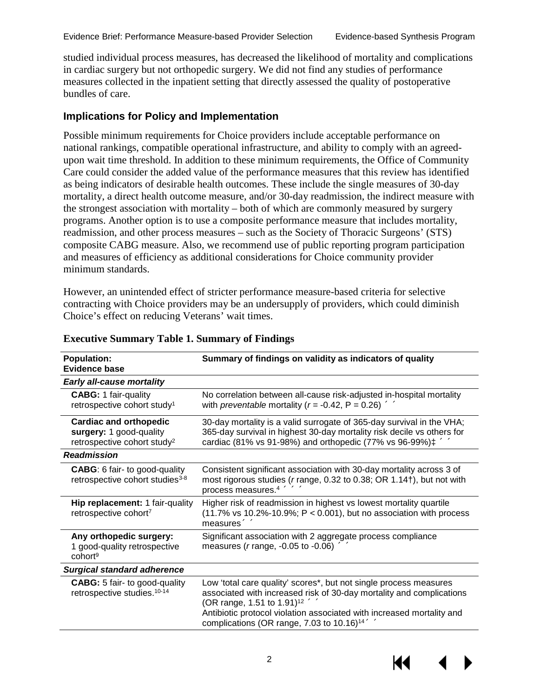studied individual process measures, has decreased the likelihood of mortality and complications in cardiac surgery but not orthopedic surgery. We did not find any studies of performance measures collected in the inpatient setting that directly assessed the quality of postoperative bundles of care.

#### <span id="page-5-0"></span>**Implications for Policy and Implementation**

Possible minimum requirements for Choice providers include acceptable performance on national rankings, compatible operational infrastructure, and ability to comply with an agreedupon wait time threshold. In addition to these minimum requirements, the Office of Community Care could consider the added value of the performance measures that this review has identified as being indicators of desirable health outcomes. These include the single measures of 30-day mortality, a direct health outcome measure, and/or 30-day readmission, the indirect measure with the strongest association with mortality – both of which are commonly measured by surgery programs. Another option is to use a composite performance measure that includes mortality, readmission, and other process measures – such as the Society of Thoracic Surgeons' (STS) composite CABG measure. Also, we recommend use of public reporting program participation and measures of efficiency as additional considerations for Choice community provider minimum standards.

However, an unintended effect of stricter performance measure-based criteria for selective contracting with Choice providers may be an undersupply of providers, which could diminish Choice's effect on reducing Veterans' wait times.

| <b>Population:</b><br><b>Evidence base</b>                                                          | Summary of findings on validity as indicators of quality                                                                                                                                                                                                                                                                      |
|-----------------------------------------------------------------------------------------------------|-------------------------------------------------------------------------------------------------------------------------------------------------------------------------------------------------------------------------------------------------------------------------------------------------------------------------------|
| <b>Early all-cause mortality</b>                                                                    |                                                                                                                                                                                                                                                                                                                               |
| <b>CABG: 1 fair-quality</b><br>retrospective cohort study <sup>1</sup>                              | No correlation between all-cause risk-adjusted in-hospital mortality<br>with <i>preventable</i> mortality ( $r = -0.42$ , $P = 0.26$ ) «                                                                                                                                                                                      |
| <b>Cardiac and orthopedic</b><br>surgery: 1 good-quality<br>retrospective cohort study <sup>2</sup> | 30-day mortality is a valid surrogate of 365-day survival in the VHA;<br>365-day survival in highest 30-day mortality risk decile vs others for<br>cardiac (81% vs 91-98%) and orthopedic (77% vs 96-99%) $\ddagger$ <<<<                                                                                                     |
| <b>Readmission</b>                                                                                  |                                                                                                                                                                                                                                                                                                                               |
| <b>CABG:</b> 6 fair- to good-quality<br>retrospective cohort studies <sup>3-8</sup>                 | Consistent significant association with 30-day mortality across 3 of<br>most rigorous studies (r range, 0.32 to 0.38; OR 1.14†), but not with<br>process measures. <sup>4</sup> «<<<<<                                                                                                                                        |
| Hip replacement: 1 fair-quality<br>retrospective cohort7                                            | Higher risk of readmission in highest vs lowest mortality quartile<br>$(11.7\% \text{ vs } 10.2\% - 10.9\%; P < 0.001)$ , but no association with process<br>measures $\ll$                                                                                                                                                   |
| Any orthopedic surgery:<br>1 good-quality retrospective<br>cohort <sup>9</sup>                      | Significant association with 2 aggregate process compliance<br>measures ( $r$ range, -0.05 to -0.06) $\ll$                                                                                                                                                                                                                    |
| <b>Surgical standard adherence</b>                                                                  |                                                                                                                                                                                                                                                                                                                               |
| <b>CABG:</b> 5 fair- to good-quality<br>retrospective studies. <sup>10-14</sup>                     | Low 'total care quality' scores*, but not single process measures<br>associated with increased risk of 30-day mortality and complications<br>(OR range, 1.51 to 1.91) <sup>12</sup> «<br>Antibiotic protocol violation associated with increased mortality and<br>complications (OR range, 7.03 to 10.16) <sup>14</sup> $\ll$ |

#### <span id="page-5-1"></span>**Executive Summary Table 1. Summary of Findings**

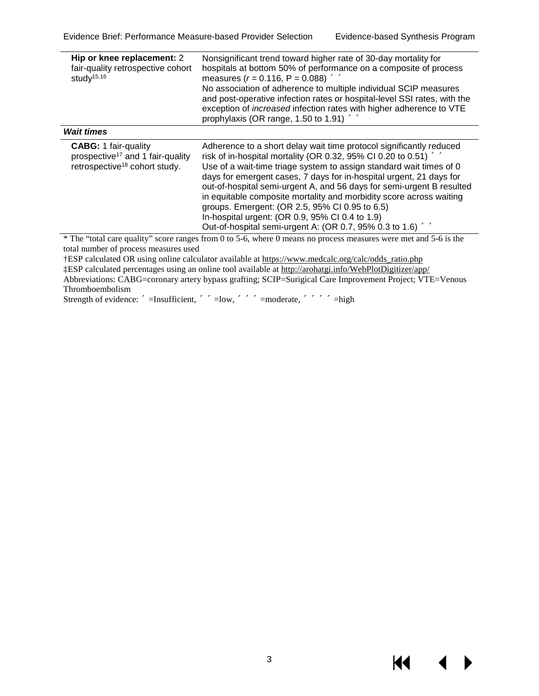14

| Hip or knee replacement: 2<br>fair-quality retrospective cohort<br>study <sup>15,16</sup>                                | Nonsignificant trend toward higher rate of 30-day mortality for<br>hospitals at bottom 50% of performance on a composite of process<br>measures ( $r = 0.116$ , P = 0.088) «<br>No association of adherence to multiple individual SCIP measures<br>and post-operative infection rates or hospital-level SSI rates, with the<br>exception of <i>increased</i> infection rates with higher adherence to VTE<br>prophylaxis (OR range, 1.50 to 1.91) $\ll$                                                                                                                                                      |
|--------------------------------------------------------------------------------------------------------------------------|---------------------------------------------------------------------------------------------------------------------------------------------------------------------------------------------------------------------------------------------------------------------------------------------------------------------------------------------------------------------------------------------------------------------------------------------------------------------------------------------------------------------------------------------------------------------------------------------------------------|
| <b>Wait times</b>                                                                                                        |                                                                                                                                                                                                                                                                                                                                                                                                                                                                                                                                                                                                               |
| <b>CABG:</b> 1 fair-quality<br>prospective <sup>17</sup> and 1 fair-quality<br>retrospective <sup>18</sup> cohort study. | Adherence to a short delay wait time protocol significantly reduced<br>risk of in-hospital mortality (OR 0.32, 95% CI 0.20 to 0.51) $\ll \ll$<br>Use of a wait-time triage system to assign standard wait times of 0<br>days for emergent cases, 7 days for in-hospital urgent, 21 days for<br>out-of-hospital semi-urgent A, and 56 days for semi-urgent B resulted<br>in equitable composite mortality and morbidity score across waiting<br>groups. Emergent: (OR 2.5, 95% CI 0.95 to 6.5)<br>In-hospital urgent: (OR 0.9, 95% CI 0.4 to 1.9)<br>Out-of-hospital semi-urgent A: (OR 0.7, 95% 0.3 to 1.6) « |

\* The "total care quality" score ranges from 0 to 5-6, where 0 means no process measures were met and 5-6 is the total number of process measures used

†ESP calculated OR using online calculator available at [https://www.medcalc.org/calc/odds\\_ratio.php](https://www.medcalc.org/calc/odds_ratio.php)  ‡ESP calculated percentages using an online tool available at<http://arohatgi.info/WebPlotDigitizer/app/> Abbreviations: CABG=coronary artery bypass grafting; SCIP=Surigical Care Improvement Project; VTE=Venous Thromboembolism

Strength of evidence: «=Insufficient, «<<=Iow, «<<<==moderate, «<<<<= high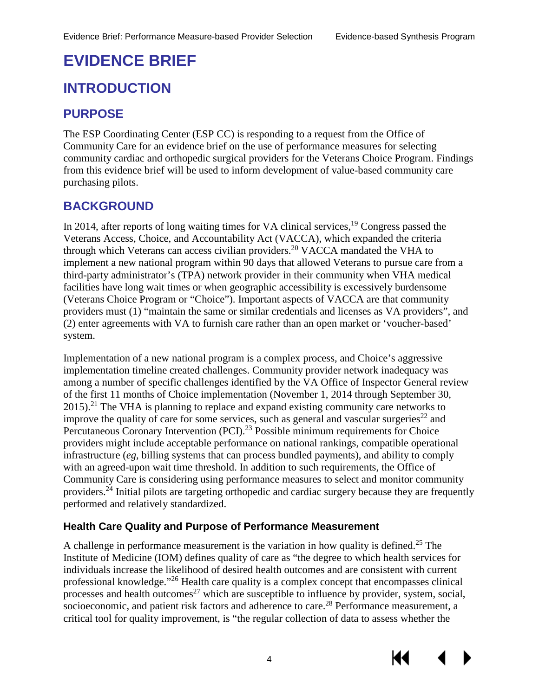Кŧ

## <span id="page-7-0"></span>**EVIDENCE BRIEF**

### <span id="page-7-1"></span>**INTRODUCTION**

### <span id="page-7-2"></span>**PURPOSE**

The ESP Coordinating Center (ESP CC) is responding to a request from the Office of Community Care for an evidence brief on the use of performance measures for selecting community cardiac and orthopedic surgical providers for the Veterans Choice Program. Findings from this evidence brief will be used to inform development of value-based community care purchasing pilots.

### <span id="page-7-3"></span>**BACKGROUND**

In 2014, after reports of long waiting times for VA clinical services, $19$  Congress passed the Veterans Access, Choice, and Accountability Act (VACCA), which expanded the criteria through which Veterans can access civilian providers.<sup>[20](#page-33-3)</sup> VACCA mandated the VHA to implement a new national program within 90 days that allowed Veterans to pursue care from a third-party administrator's (TPA) network provider in their community when VHA medical facilities have long wait times or when geographic accessibility is excessively burdensome (Veterans Choice Program or "Choice"). Important aspects of VACCA are that community providers must (1) "maintain the same or similar credentials and licenses as VA providers", and (2) enter agreements with VA to furnish care rather than an open market or 'voucher-based' system.

Implementation of a new national program is a complex process, and Choice's aggressive implementation timeline created challenges. Community provider network inadequacy was among a number of specific challenges identified by the VA Office of Inspector General review of the first 11 months of Choice implementation (November 1, 2014 through September 30,  $2015$ .<sup>[21](#page-33-4)</sup> The VHA is planning to replace and expand existing community care networks to improve the quality of care for some services, such as general and vascular surgeries<sup>22</sup> and Percutaneous Coronary Intervention (PCI).<sup>23</sup> Possible minimum requirements for Choice providers might include acceptable performance on national rankings, compatible operational infrastructure (*eg*, billing systems that can process bundled payments), and ability to comply with an agreed-upon wait time threshold. In addition to such requirements, the Office of Community Care is considering using performance measures to select and monitor community providers[.24](#page-33-7) Initial pilots are targeting orthopedic and cardiac surgery because they are frequently performed and relatively standardized.

#### <span id="page-7-4"></span>**Health Care Quality and Purpose of Performance Measurement**

A challenge in performance measurement is the variation in how quality is defined.[25](#page-33-8) The Institute of Medicine (IOM) defines quality of care as "the degree to which health services for individuals increase the likelihood of desired health outcomes and are consistent with current professional knowledge."[26](#page-33-9) Health care quality is a complex concept that encompasses clinical processes and health outcomes<sup>27</sup> which are susceptible to influence by provider, system, social, socioeconomic, and patient risk factors and adherence to care.<sup>28</sup> Performance measurement, a critical tool for quality improvement, is "the regular collection of data to assess whether the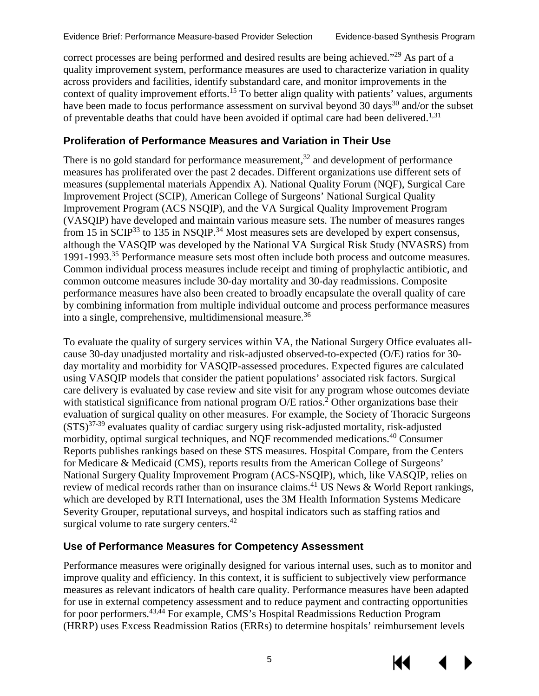correct processes are being performed and desired results are being achieved."<sup>29</sup> As part of a quality improvement system, performance measures are used to characterize variation in quality across providers and facilities, identify substandard care, and monitor improvements in the context of quality improvement efforts.<sup>15</sup> To better align quality with patients' values, arguments have been made to focus performance assessment on survival beyond [30](#page-33-13) days<sup>30</sup> and/or the subset of preventable deaths that could have been avoided if optimal care had been delivered.<sup>1[,31](#page-33-14)</sup>

#### <span id="page-8-0"></span>**Proliferation of Performance Measures and Variation in Their Use**

There is no gold standard for performance measurement, $32$  and development of performance measures has proliferated over the past 2 decades. Different organizations use different sets of measures (supplemental materials Appendix A). National Quality Forum (NQF), Surgical Care Improvement Project (SCIP), American College of Surgeons' National Surgical Quality Improvement Program (ACS NSQIP), and the VA Surgical Quality Improvement Program (VASQIP) have developed and maintain various measure sets. The number of measures ranges from 15 in SCIP<sup>33</sup> to 135 in NSQIP.<sup>34</sup> Most measures sets are developed by expert consensus, although the VASQIP was developed by the National VA Surgical Risk Study (NVASRS) from 1991-1993.[35](#page-34-0) Performance measure sets most often include both process and outcome measures. Common individual process measures include receipt and timing of prophylactic antibiotic, and common outcome measures include 30-day mortality and 30-day readmissions. Composite performance measures have also been created to broadly encapsulate the overall quality of care by combining information from multiple individual outcome and process performance measures into a single, comprehensive, multidimensional measure[.36](#page-34-1) 

To evaluate the quality of surgery services within VA, the National Surgery Office evaluates allcause 30-day unadjusted mortality and risk-adjusted observed-to-expected (O/E) ratios for 30 day mortality and morbidity for VASQIP-assessed procedures. Expected figures are calculated using VASQIP models that consider the patient populations' associated risk factors. Surgical care delivery is evaluated by case review and site visit for any program whose outcomes deviate with statistical significance from national program  $O/E$  ratios.<sup>2</sup> Other organizations base their evaluation of surgical quality on other measures. For example, the Society of Thoracic Surgeons  $(STS)^{37-39}$  evaluates quality of cardiac surgery using risk-adjusted mortality, risk-adjusted morbidity, optimal surgical techniques, and NQF recommended medications[.40](#page-34-3) Consumer Reports publishes rankings based on these STS measures. Hospital Compare, from the Centers for Medicare & Medicaid (CMS), reports results from the American College of Surgeons' National Surgery Quality Improvement Program (ACS-NSQIP), which, like VASQIP, relies on review of medical records rather than on insurance claims.<sup>41</sup> US News & World Report rankings, which are developed by RTI International, uses the 3M Health Information Systems Medicare Severity Grouper, reputational surveys, and hospital indicators such as staffing ratios and surgical volume to rate surgery centers.<sup>42</sup>

#### <span id="page-8-1"></span>**Use of Performance Measures for Competency Assessment**

Performance measures were originally designed for various internal uses, such as to monitor and improve quality and efficiency. In this context, it is sufficient to subjectively view performance measures as relevant indicators of health care quality. Performance measures have been adapted for use in external competency assessment and to reduce payment and contracting opportunities for poor performers.<sup>[43,](#page-34-6)[44](#page-34-7)</sup> For example, CMS's Hospital Readmissions Reduction Program (HRRP) uses Excess Readmission Ratios (ERRs) to determine hospitals' reimbursement levels

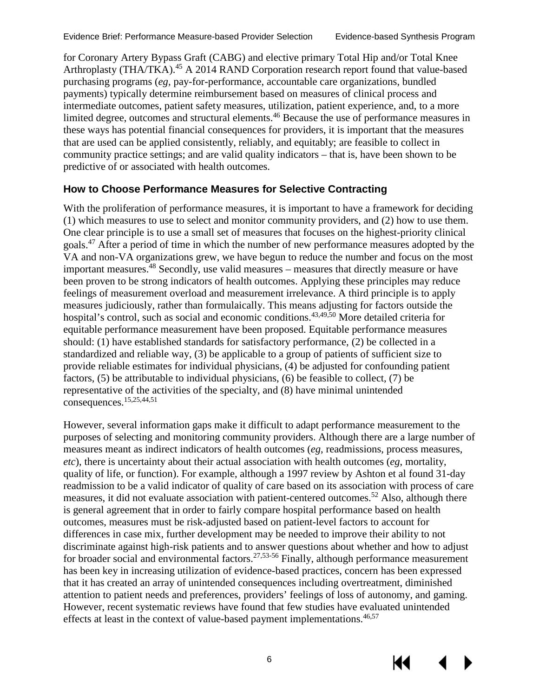for Coronary Artery Bypass Graft (CABG) and elective primary Total Hip and/or Total Knee Arthroplasty (THA/TKA).<sup>45</sup> A 2014 RAND Corporation research report found that value-based purchasing programs (*eg,* pay-for-performance, accountable care organizations, bundled payments) typically determine reimbursement based on measures of clinical process and intermediate outcomes, patient safety measures, utilization, patient experience, and, to a more limited degree, outcomes and structural elements.<sup>[46](#page-34-9)</sup> Because the use of performance measures in these ways has potential financial consequences for providers, it is important that the measures that are used can be applied consistently, reliably, and equitably; are feasible to collect in community practice settings; and are valid quality indicators – that is, have been shown to be predictive of or associated with health outcomes.

#### <span id="page-9-0"></span>**How to Choose Performance Measures for Selective Contracting**

With the proliferation of performance measures, it is important to have a framework for deciding (1) which measures to use to select and monitor community providers, and (2) how to use them. One clear principle is to use a small set of measures that focuses on the highest-priority clinical goals[.47](#page-34-10) After a period of time in which the number of new performance measures adopted by the VA and non-VA organizations grew, we have begun to reduce the number and focus on the most important measures.<sup>[48](#page-34-11)</sup> Secondly, use valid measures – measures that directly measure or have been proven to be strong indicators of health outcomes. Applying these principles may reduce feelings of measurement overload and measurement irrelevance. A third principle is to apply measures judiciously, rather than formulaically. This means adjusting for factors outside the hospital's control, such as social and economic conditions.<sup>[43,](#page-34-6)[49,](#page-34-12)[50](#page-34-13)</sup> More detailed criteria for equitable performance measurement have been proposed. Equitable performance measures should: (1) have established standards for satisfactory performance, (2) be collected in a standardized and reliable way, (3) be applicable to a group of patients of sufficient size to provide reliable estimates for individual physicians, (4) be adjusted for confounding patient factors, (5) be attributable to individual physicians, (6) be feasible to collect, (7) be representative of the activities of the specialty, and (8) have minimal unintended consequences[.15](#page-32-10)[,25](#page-33-8)[,44](#page-34-7)[,51](#page-35-0)

However, several information gaps make it difficult to adapt performance measurement to the purposes of selecting and monitoring community providers. Although there are a large number of measures meant as indirect indicators of health outcomes (*eg*, readmissions, process measures, *etc*), there is uncertainty about their actual association with health outcomes (*eg*, mortality, quality of life, or function). For example, although a 1997 review by Ashton et al found 31-day readmission to be a valid indicator of quality of care based on its association with process of care measures, it did not evaluate association with patient-centered outcomes.<sup>52</sup> Also, although there is general agreement that in order to fairly compare hospital performance based on health outcomes, measures must be risk-adjusted based on patient-level factors to account for differences in case mix, further development may be needed to improve their ability to not discriminate against high-risk patients and to answer questions about whether and how to adjust for broader social and environmental factors.<sup>[27,](#page-33-10)53-56</sup> Finally, although performance measurement has been key in increasing utilization of evidence-based practices, concern has been expressed that it has created an array of unintended consequences including overtreatment, diminished attention to patient needs and preferences, providers' feelings of loss of autonomy, and gaming. However, recent systematic reviews have found that few studies have evaluated unintended effects at least in the context of value-based payment implementations.  $46,57$  $46,57$ 

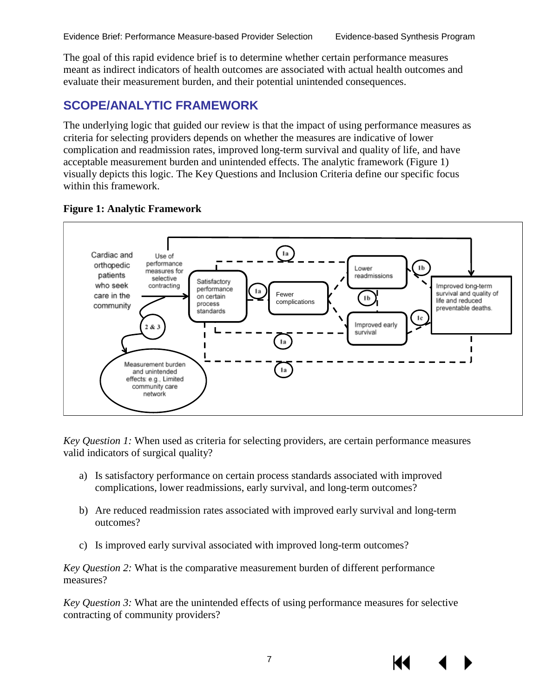The goal of this rapid evidence brief is to determine whether certain performance measures meant as indirect indicators of health outcomes are associated with actual health outcomes and evaluate their measurement burden, and their potential unintended consequences.

### <span id="page-10-0"></span>**SCOPE/ANALYTIC FRAMEWORK**

The underlying logic that guided our review is that the impact of using performance measures as criteria for selecting providers depends on whether the measures are indicative of lower complication and readmission rates, improved long-term survival and quality of life, and have acceptable measurement burden and unintended effects. The analytic framework (Figure 1) visually depicts this logic. The Key Questions and Inclusion Criteria define our specific focus within this framework.

#### <span id="page-10-1"></span>**Figure 1: Analytic Framework**



*Key Question 1:* When used as criteria for selecting providers, are certain performance measures valid indicators of surgical quality?

- a) Is satisfactory performance on certain process standards associated with improved complications, lower readmissions, early survival, and long-term outcomes?
- b) Are reduced readmission rates associated with improved early survival and long-term outcomes?
- c) Is improved early survival associated with improved long-term outcomes?

*Key Question 2:* What is the comparative measurement burden of different performance measures?

*Key Question 3:* What are the unintended effects of using performance measures for selective contracting of community providers?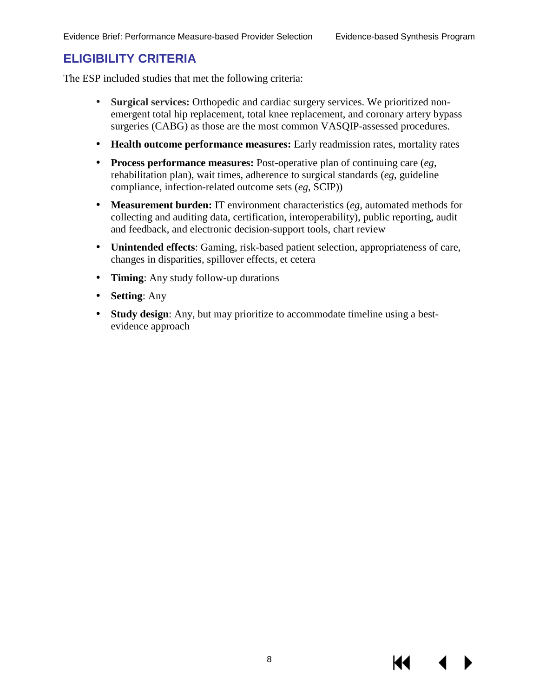#### <span id="page-11-0"></span>**ELIGIBILITY CRITERIA**

The ESP included studies that met the following criteria:

- **Surgical services:** Orthopedic and cardiac surgery services. We prioritized nonć, emergent total hip replacement, total knee replacement, and coronary artery bypass surgeries (CABG) as those are the most common VASQIP-assessed procedures.
- $\mathcal{L}^{\text{max}}$ **Health outcome performance measures:** Early readmission rates, mortality rates
- **Process performance measures:** Post-operative plan of continuing care (*eg*,  $\mathbf{r}$ rehabilitation plan), wait times, adherence to surgical standards (*eg*, guideline compliance, infection-related outcome sets (*eg*, SCIP))
- **Measurement burden:** IT environment characteristics (*eg*, automated methods for ä, collecting and auditing data, certification, interoperability), public reporting, audit and feedback, and electronic decision-support tools, chart review
- **Unintended effects**: Gaming, risk-based patient selection, appropriateness of care,  $\mathcal{L}^{\pm}$ changes in disparities, spillover effects, et cetera
- **Timing**: Any study follow-up durations  $\mathbf{r}^{\prime}$
- **Setting**: Any  $\blacksquare$
- **Study design**: Any, but may prioritize to accommodate timeline using a best- $\mathbf{L}$ evidence approach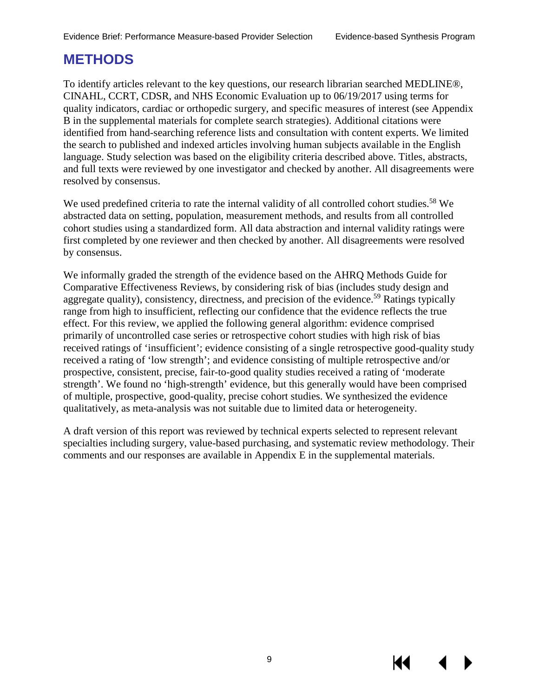### <span id="page-12-0"></span>**METHODS**

To identify articles relevant to the key questions, our research librarian searched MEDLINE®, CINAHL, CCRT, CDSR, and NHS Economic Evaluation up to 06/19/2017 using terms for quality indicators, cardiac or orthopedic surgery, and specific measures of interest (see Appendix B in the supplemental materials for complete search strategies). Additional citations were identified from hand-searching reference lists and consultation with content experts. We limited the search to published and indexed articles involving human subjects available in the English language. Study selection was based on the eligibility criteria described above. Titles, abstracts, and full texts were reviewed by one investigator and checked by another. All disagreements were resolved by consensus.

We used predefined criteria to rate the internal validity of all controlled cohort studies.<sup>[58](#page-35-4)</sup> We abstracted data on setting, population, measurement methods, and results from all controlled cohort studies using a standardized form. All data abstraction and internal validity ratings were first completed by one reviewer and then checked by another. All disagreements were resolved by consensus.

We informally graded the strength of the evidence based on the AHRQ Methods Guide for Comparative Effectiveness Reviews, by considering risk of bias (includes study design and aggregate quality), consistency, directness, and precision of the evidence.<sup>[59](#page-35-5)</sup> Ratings typically range from high to insufficient, reflecting our confidence that the evidence reflects the true effect. For this review, we applied the following general algorithm: evidence comprised primarily of uncontrolled case series or retrospective cohort studies with high risk of bias received ratings of 'insufficient'; evidence consisting of a single retrospective good-quality study received a rating of 'low strength'; and evidence consisting of multiple retrospective and/or prospective, consistent, precise, fair-to-good quality studies received a rating of 'moderate strength'. We found no 'high-strength' evidence, but this generally would have been comprised of multiple, prospective, good-quality, precise cohort studies. We synthesized the evidence qualitatively, as meta-analysis was not suitable due to limited data or heterogeneity.

A draft version of this report was reviewed by technical experts selected to represent relevant specialties including surgery, value-based purchasing, and systematic review methodology. Their comments and our responses are available in Appendix E in the supplemental materials.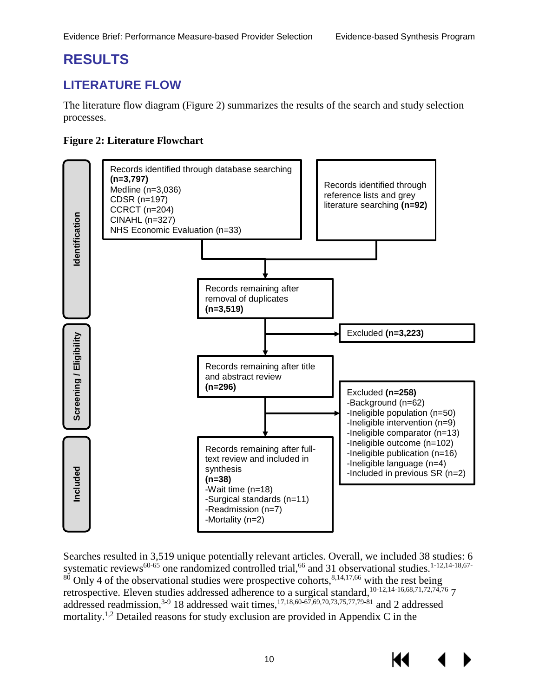### <span id="page-13-0"></span>**RESULTS**

### <span id="page-13-1"></span>**LITERATURE FLOW**

The literature flow diagram (Figure 2) summarizes the results of the search and study selection processes.

#### <span id="page-13-2"></span>**Figure 2: Literature Flowchart**



Searches resulted in 3,519 unique potentially relevant articles. Overall, we included 38 studies: 6 systematic reviews<sup>[60-65](#page-35-6)</sup> one randomized controlled trial,<sup>66</sup> and 31 observational studies.<sup>1-12,[14-18](#page-32-9)[,67-](#page-36-1)</sup>  $80$  Only 4 of the observational studies were prospective cohorts,  $8,14,17,66$  $8,14,17,66$  $8,14,17,66$  $8,14,17,66$  with the rest being retrospective. Eleven studies addressed adherence to a surgical standard,<sup>10-12,[14-16](#page-32-9)[,68](#page-36-2)[,71](#page-36-3)[,72](#page-36-4)[,74](#page-36-5),76</sup> 7 addressed readmission,<sup>3-9</sup> [18](#page-33-1) addressed wait times,<sup>17,18[,60-67,](#page-35-6)[69,](#page-36-7)[70,](#page-36-8)[73,](#page-36-9)[75,](#page-36-10)[77,](#page-36-11)79-81</sup> and 2 addressed mortality[.1](#page-32-1)[,2](#page-32-2) Detailed reasons for study exclusion are provided in Appendix C in the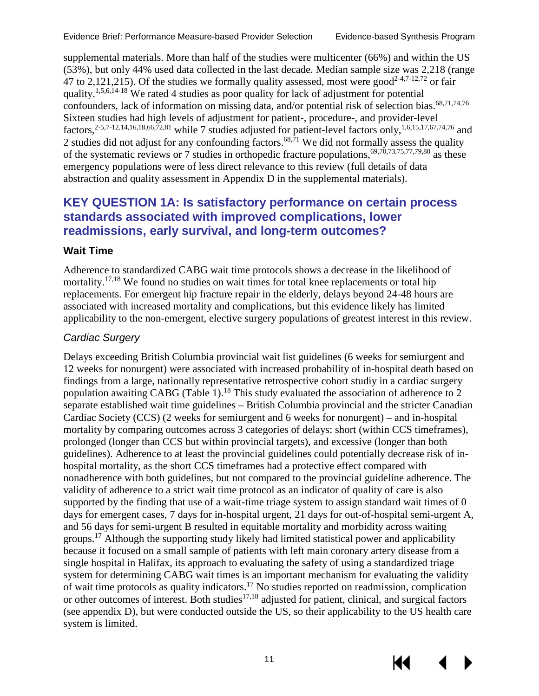supplemental materials. More than half of the studies were multicenter (66%) and within the US (53%), but only 44% used data collected in the last decade. Median sample size was 2,218 (range 47 to 2,121,215). Of the studies we formally quality assessed, most were good<sup>2-4,[7-12,](#page-32-5)72</sup> or fair quality.[1,](#page-32-1)[5,](#page-32-13)[6,](#page-32-14)[14-18](#page-32-9) We rated 4 studies as poor quality for lack of adjustment for potential confounders, lack of information on missing data, and/or potential risk of selection bias.<sup>68[,71](#page-36-3)[,74,](#page-36-5)[76](#page-36-6)</sup> Sixteen studies had high levels of adjustment for patient-, procedure-, and provider-level factors,<sup>2-5,[7-12](#page-32-5)[,14](#page-32-9)[,16](#page-32-11)[,18](#page-33-1)[,66](#page-36-0)[,72](#page-36-4)[,81](#page-37-0)</sup> while 7 studies adjusted for patient-level factors only,<sup>1,6[,1](#page-32-1)5,17[,6](#page-32-14)7[,74](#page-36-5),76</sup> and 2 studies did not adjust for any confounding factors.<sup>68,71</sup> We did not formally assess the quality of the systematic reviews or 7 studies in orthopedic fracture populations, $69,70,73,75,77,79,80$  $69,70,73,75,77,79,80$  $69,70,73,75,77,79,80$  $69,70,73,75,77,79,80$  $69,70,73,75,77,79,80$  $69,70,73,75,77,79,80$  $69,70,73,75,77,79,80$  as these emergency populations were of less direct relevance to this review (full details of data abstraction and quality assessment in Appendix D in the supplemental materials).

#### <span id="page-14-0"></span>**KEY QUESTION 1A: Is satisfactory performance on certain process standards associated with improved complications, lower readmissions, early survival, and long-term outcomes?**

#### <span id="page-14-1"></span>**Wait Time**

<span id="page-14-2"></span>Adherence to standardized CABG wait time protocols shows a decrease in the likelihood of mortality.<sup>17,18</sup> We found no studies on wait times for total knee replacements or total hip replacements. For emergent hip fracture repair in the elderly, delays beyond 24-48 hours are associated with increased mortality and complications, but this evidence likely has limited applicability to the non-emergent, elective surgery populations of greatest interest in this review.

#### *Cardiac Surgery*

Delays exceeding British Columbia provincial wait list guidelines (6 weeks for semiurgent and 12 weeks for nonurgent) were associated with increased probability of in-hospital death based on findings from a large, nationally representative retrospective cohort studiy in a cardiac surgery population awaiting CABG (Table 1).<sup>18</sup> This study evaluated the association of adherence to 2 separate established wait time guidelines – British Columbia provincial and the stricter Canadian Cardiac Society (CCS) (2 weeks for semiurgent and 6 weeks for nonurgent) – and in-hospital mortality by comparing outcomes across 3 categories of delays: short (within CCS timeframes), prolonged (longer than CCS but within provincial targets), and excessive (longer than both guidelines). Adherence to at least the provincial guidelines could potentially decrease risk of inhospital mortality, as the short CCS timeframes had a protective effect compared with nonadherence with both guidelines, but not compared to the provincial guideline adherence. The validity of adherence to a strict wait time protocol as an indicator of quality of care is also supported by the finding that use of a wait-time triage system to assign standard wait times of 0 days for emergent cases, 7 days for in-hospital urgent, 21 days for out-of-hospital semi-urgent A, and 56 days for semi-urgent B resulted in equitable mortality and morbidity across waiting groups.[17](#page-33-0) Although the supporting study likely had limited statistical power and applicability because it focused on a small sample of patients with left main coronary artery disease from a single hospital in Halifax, its approach to evaluating the safety of using a standardized triage system for determining CABG wait times is an important mechanism for evaluating the validity of wait time protocols as quality indicators[.17](#page-33-0) No studies reported on readmission, complication or other outcomes of interest. Both studies $17,18$  $17,18$  adjusted for patient, clinical, and surgical factors (see appendix D), but were conducted outside the US, so their applicability to the US health care system is limited.

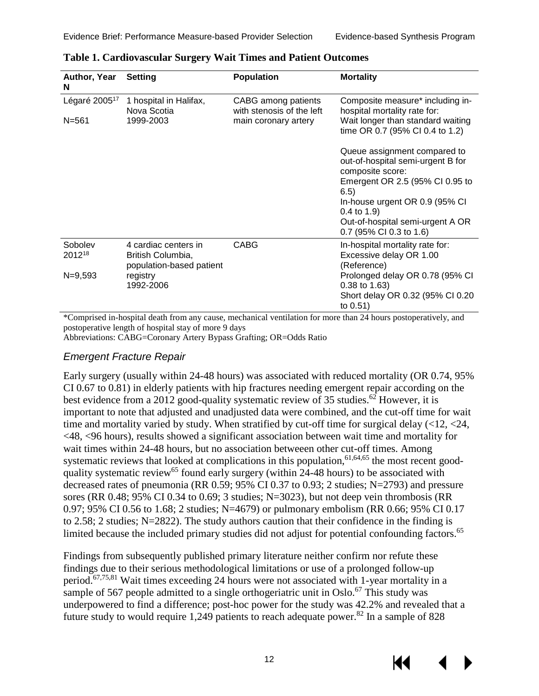| Author, Year<br>N         | <b>Setting</b>                                                        | <b>Population</b>                                | <b>Mortality</b>                                                          |
|---------------------------|-----------------------------------------------------------------------|--------------------------------------------------|---------------------------------------------------------------------------|
| Légaré 2005 <sup>17</sup> | 1 hospital in Halifax,<br>Nova Scotia                                 | CABG among patients<br>with stenosis of the left | Composite measure* including in-<br>hospital mortality rate for:          |
| $N = 561$                 | 1999-2003                                                             | main coronary artery                             | Wait longer than standard waiting<br>time OR 0.7 (95% CI 0.4 to 1.2)      |
|                           |                                                                       |                                                  | Queue assignment compared to<br>out-of-hospital semi-urgent B for         |
|                           |                                                                       |                                                  | composite score:<br>Emergent OR 2.5 (95% CI 0.95 to<br>6.5)               |
|                           |                                                                       |                                                  | In-house urgent OR 0.9 (95% CI<br>$0.4$ to $1.9$ )                        |
|                           |                                                                       |                                                  | Out-of-hospital semi-urgent A OR<br>0.7 (95% CI 0.3 to 1.6)               |
| Sobolev<br>201218         | 4 cardiac centers in<br>British Columbia,<br>population-based patient | <b>CABG</b>                                      | In-hospital mortality rate for:<br>Excessive delay OR 1.00<br>(Reference) |
| $N = 9,593$               | registry<br>1992-2006                                                 |                                                  | Prolonged delay OR 0.78 (95% CI<br>0.38 to 1.63)                          |
|                           |                                                                       |                                                  | Short delay OR 0.32 (95% CI 0.20<br>to 0.51)                              |

| <b>Table 1. Cardiovascular Surgery Wait Times and Patient Outcomes</b> |  |  |
|------------------------------------------------------------------------|--|--|
|                                                                        |  |  |

\*Comprised in-hospital death from any cause, mechanical ventilation for more than 24 hours postoperatively, and postoperative length of hospital stay of more 9 days

Abbreviations: CABG=Coronary Artery Bypass Grafting; OR=Odds Ratio

#### *Emergent Fracture Repair*

Early surgery (usually within 24-48 hours) was associated with reduced mortality (OR 0.74, 95% CI 0.67 to 0.81) in elderly patients with hip fractures needing emergent repair according on the best evidence from a 2012 good-quality systematic review of 35 studies.<sup>62</sup> However, it is important to note that adjusted and unadjusted data were combined, and the cut-off time for wait time and mortality varied by study. When stratified by cut-off time for surgical delay (<12, <24, <48, <96 hours), results showed a significant association between wait time and mortality for wait times within 24-48 hours, but no association betweeen other cut-off times. Among systematic reviews that looked at complications in this population, $61,64,65$  $61,64,65$  $61,64,65$  the most recent goodquality systematic review<sup>65</sup> found early surgery (within 24-48 hours) to be associated with decreased rates of pneumonia (RR 0.59; 95% CI 0.37 to 0.93; 2 studies; N=2793) and pressure sores (RR 0.48; 95% CI 0.34 to 0.69; 3 studies; N=3023), but not deep vein thrombosis (RR 0.97; 95% CI 0.56 to 1.68; 2 studies; N=4679) or pulmonary embolism (RR 0.66; 95% CI 0.17 to 2.58; 2 studies; N=2822). The study authors caution that their confidence in the finding is limited because the included primary studies did not adjust for potential confounding factors.<sup>65</sup>

Findings from subsequently published primary literature neither confirm nor refute these findings due to their serious methodological limitations or use of a prolonged follow-up period.[67,](#page-36-1)[75,](#page-36-10)[81](#page-37-0) Wait times exceeding 24 hours were not associated with 1-year mortality in a sample of 567 people admitted to a single orthogeriatric unit in Oslo.<sup>67</sup> This study was underpowered to find a difference; post-hoc power for the study was 42.2% and revealed that a future study to would require 1,249 patients to reach adequate power.<sup>82</sup> In a sample of 828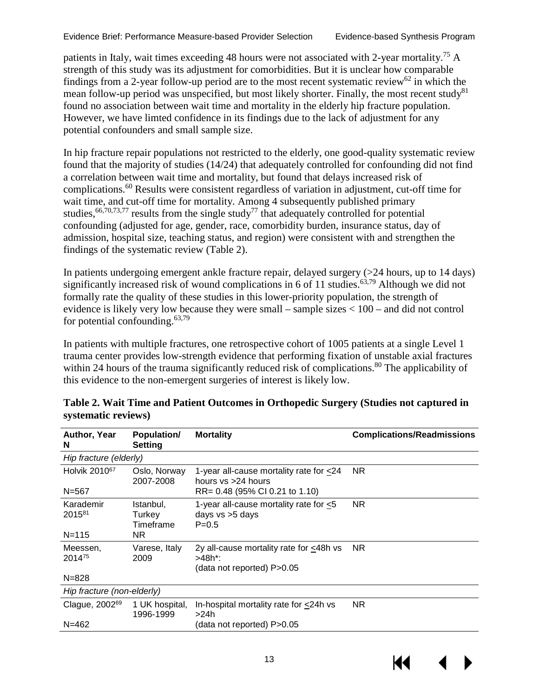patients in Italy, wait times exceeding 48 hours were not associated with 2-year mortality.<sup>75</sup> A strength of this study was its adjustment for comorbidities. But it is unclear how comparable findings from a 2-year follow-up period are to the most recent systematic review<sup>62</sup> in which the mean follow-up period was unspecified, but most likely shorter. Finally, the most recent study<sup>81</sup> found no association between wait time and mortality in the elderly hip fracture population. However, we have limted confidence in its findings due to the lack of adjustment for any potential confounders and small sample size.

In hip fracture repair populations not restricted to the elderly, one good-quality systematic review found that the majority of studies (14/24) that adequately controlled for confounding did not find a correlation between wait time and mortality, but found that delays increased risk of complications[.60](#page-35-6) Results were consistent regardless of variation in adjustment, cut-off time for wait time, and cut-off time for mortality. Among 4 subsequently published primary studies,  $66,70,73,77$  $66,70,73,77$  $66,70,73,77$  $66,70,73,77$  results from the single study<sup>77</sup> that adequately controlled for potential confounding (adjusted for age, gender, race, comorbidity burden, insurance status, day of admission, hospital size, teaching status, and region) were consistent with and strengthen the findings of the systematic review (Table 2).

In patients undergoing emergent ankle fracture repair, delayed surgery (>24 hours, up to 14 days) significantly increased risk of wound complications in 6 of 11 studies.<sup>63,79</sup> Although we did not formally rate the quality of these studies in this lower-priority population, the strength of evidence is likely very low because they were small – sample sizes < 100 – and did not control for potential confounding. $63,79$ 

In patients with multiple fractures, one retrospective cohort of 1005 patients at a single Level 1 trauma center provides low-strength evidence that performing fixation of unstable axial fractures within 24 hours of the trauma significantly reduced risk of complications.<sup>80</sup> The applicability of this evidence to the non-emergent surgeries of interest is likely low.

| Author, Year<br>N          | Population/<br><b>Setting</b>    | <b>Mortality</b>                                                                | <b>Complications/Readmissions</b> |
|----------------------------|----------------------------------|---------------------------------------------------------------------------------|-----------------------------------|
| Hip fracture (elderly)     |                                  |                                                                                 |                                   |
| Holvik 2010 <sup>67</sup>  | Oslo, Norway<br>2007-2008        | 1-year all-cause mortality rate for <24<br>hours $vs > 24$ hours                | NR.                               |
| $N = 567$                  |                                  | RR= 0.48 (95% CI 0.21 to 1.10)                                                  |                                   |
| Karademir<br>201581        | Istanbul,<br>Turkey<br>Timeframe | 1-year all-cause mortality rate for $< 5$<br>days vs >5 days<br>$P = 0.5$       | NR.                               |
| $N = 115$                  | NR.                              |                                                                                 |                                   |
| Meessen.<br>201475         | Varese, Italy<br>2009            | 2y all-cause mortality rate for <48h vs<br>>48h*:<br>(data not reported) P>0.05 | NR.                               |
| $N = 828$                  |                                  |                                                                                 |                                   |
| Hip fracture (non-elderly) |                                  |                                                                                 |                                   |
| Clague, 2002 <sup>69</sup> | 1 UK hospital,<br>1996-1999      | In-hospital mortality rate for <24h vs<br>>24h                                  | NR.                               |
| $N = 462$                  |                                  | (data not reported) P>0.05                                                      |                                   |
|                            |                                  |                                                                                 |                                   |

#### <span id="page-16-0"></span>**Table 2. Wait Time and Patient Outcomes in Orthopedic Surgery (Studies not captured in systematic reviews)**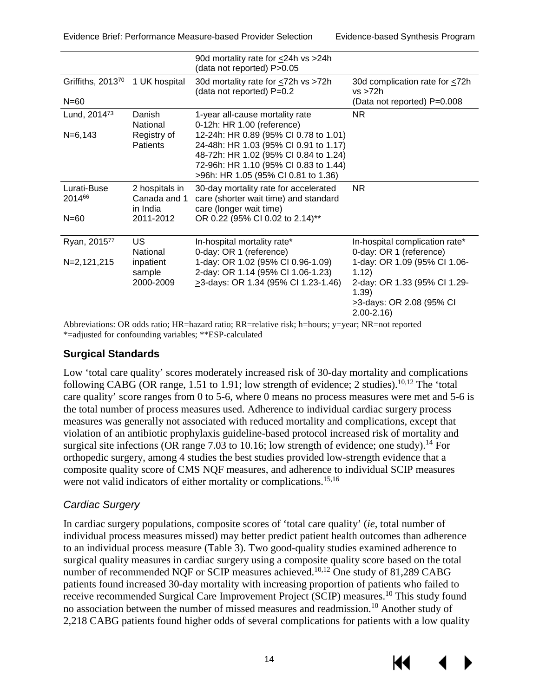|                          |                                            | 90d mortality rate for <24h vs >24h<br>(data not reported) P>0.05                                                                                                                                       |                                                                                                                             |
|--------------------------|--------------------------------------------|---------------------------------------------------------------------------------------------------------------------------------------------------------------------------------------------------------|-----------------------------------------------------------------------------------------------------------------------------|
| Griffiths, 201370        | 1 UK hospital                              | 30d mortality rate for <72h vs >72h<br>(data not reported) P=0.2                                                                                                                                        | 30d complication rate for <72h<br>vs > 72h                                                                                  |
| $N = 60$                 |                                            |                                                                                                                                                                                                         | (Data not reported) P=0.008                                                                                                 |
| Lund, 2014 <sup>73</sup> | Danish<br>National                         | 1-year all-cause mortality rate<br>0-12h: HR 1.00 (reference)                                                                                                                                           | NR.                                                                                                                         |
| $N=6,143$                | Registry of<br><b>Patients</b>             | 12-24h: HR 0.89 (95% CI 0.78 to 1.01)<br>24-48h: HR 1.03 (95% CI 0.91 to 1.17)<br>48-72h: HR 1.02 (95% CI 0.84 to 1.24)<br>72-96h: HR 1.10 (95% CI 0.83 to 1.44)<br>>96h: HR 1.05 (95% CI 0.81 to 1.36) |                                                                                                                             |
| Lurati-Buse<br>201466    | 2 hospitals in<br>Canada and 1<br>in India | 30-day mortality rate for accelerated<br>care (shorter wait time) and standard<br>care (longer wait time)                                                                                               | NR.                                                                                                                         |
| $N = 60$                 | 2011-2012                                  | OR 0.22 (95% CI 0.02 to 2.14)**                                                                                                                                                                         |                                                                                                                             |
| Ryan, 201577             | US.<br>National                            | In-hospital mortality rate*<br>0-day: OR 1 (reference)                                                                                                                                                  | In-hospital complication rate*<br>0-day: OR 1 (reference)                                                                   |
| N=2,121,215              | inpatient<br>sample<br>2000-2009           | 1-day: OR 1.02 (95% CI 0.96-1.09)<br>2-day: OR 1.14 (95% CI 1.06-1.23)<br>>3-days: OR 1.34 (95% CI 1.23-1.46)                                                                                           | 1-day: OR 1.09 (95% Cl 1.06-<br>1.12)<br>2-day: OR 1.33 (95% Cl 1.29-<br>1.39)<br>>3-days: OR 2.08 (95% CI<br>$2.00 - 2.16$ |

Abbreviations: OR odds ratio; HR=hazard ratio; RR=relative risk; h=hours; y=year; NR=not reported \*=adjusted for confounding variables; \*\*ESP-calculated

#### <span id="page-17-0"></span>**Surgical Standards**

Low 'total care quality' scores moderately increased risk of 30-day mortality and complications following CABG (OR range, 1.51 to 1.91; low strength of evidence; 2 studies).<sup>10[,12](#page-32-8)</sup> The 'total care quality' score ranges from 0 to 5-6, where 0 means no process measures were met and 5-6 is the total number of process measures used. Adherence to individual cardiac surgery process measures was generally not associated with reduced mortality and complications, except that violation of an antibiotic prophylaxis guideline-based protocol increased risk of mortality and surgical site infections (OR range 7.03 to 10.16; low strength of evidence; one study).<sup>14</sup> For orthopedic surgery, among 4 studies the best studies provided low-strength evidence that a composite quality score of CMS NQF measures, and adherence to individual SCIP measures were not valid indicators of either mortality or complications.<sup>[15,](#page-32-10)[16](#page-32-11)</sup>

#### *Cardiac Surgery*

In cardiac surgery populations, composite scores of 'total care quality' (*ie*, total number of individual process measures missed) may better predict patient health outcomes than adherence to an individual process measure (Table 3). Two good-quality studies examined adherence to surgical quality measures in cardiac surgery using a composite quality score based on the total number of recommended NOF or SCIP measures achieved.<sup>10,12</sup> One study of 81,289 CABG patients found increased 30-day mortality with increasing proportion of patients who failed to receive recommended Surgical Care Improvement Project (SCIP) measures.<sup>10</sup> This study found no association between the number of missed measures and readmission[.10](#page-32-7) Another study of 2,218 CABG patients found higher odds of several complications for patients with a low quality



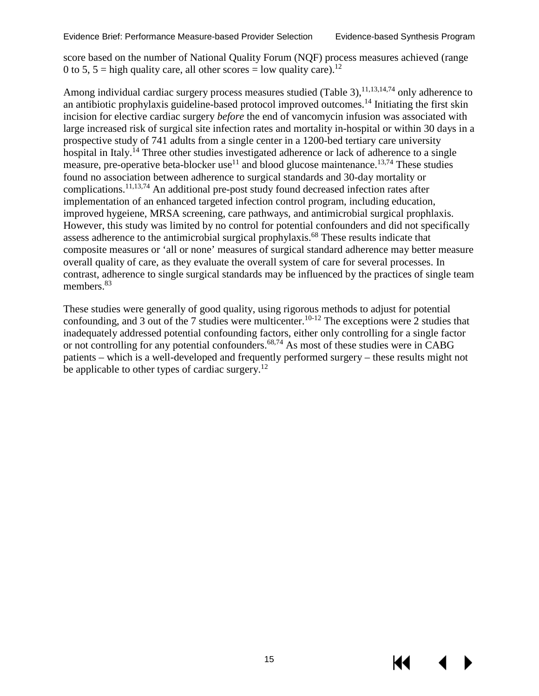score based on the number of National Quality Forum (NQF) process measures achieved (range 0 to 5, 5 = high quality care, all other scores = low quality care).<sup>12</sup>

Among individual cardiac surgery process measures studied (Table 3),  $11,13,14,74$  $11,13,14,74$  $11,13,14,74$  $11,13,14,74$  only adherence to an antibiotic prophylaxis guideline-based protocol improved outcomes[.14](#page-32-9) Initiating the first skin incision for elective cardiac surgery *before* the end of vancomycin infusion was associated with large increased risk of surgical site infection rates and mortality in-hospital or within 30 days in a prospective study of 741 adults from a single center in a 1200-bed tertiary care university hospital in Italy.<sup>14</sup> Three other studies investigated adherence or lack of adherence to a single measure, pre-operative beta-blocker use<sup>11</sup> and blood glucose maintenance.<sup>13,[74](#page-36-5)</sup> These studies found no association between adherence to surgical standards and 30-day mortality or complications[.11,](#page-32-15)[13,](#page-32-16)[74](#page-36-5) An additional pre-post study found decreased infection rates after implementation of an enhanced targeted infection control program, including education, improved hygeiene, MRSA screening, care pathways, and antimicrobial surgical prophlaxis. However, this study was limited by no control for potential confounders and did not specifically assess adherence to the antimicrobial surgical prophylaxis[.68](#page-36-2) These results indicate that composite measures or 'all or none' measures of surgical standard adherence may better measure overall quality of care, as they evaluate the overall system of care for several processes. In contrast, adherence to single surgical standards may be influenced by the practices of single team members.<sup>83</sup>

These studies were generally of good quality, using rigorous methods to adjust for potential confounding, and 3 out of the 7 studies were multicenter.<sup>10-12</sup> The exceptions were 2 studies that inadequately addressed potential confounding factors, either only controlling for a single factor or not controlling for any potential confounders.<sup>68,[74](#page-36-5)</sup> As most of these studies were in CABG patients – which is a well-developed and frequently performed surgery – these results might not be applicable to other types of cardiac surgery.<sup>[12](#page-32-8)</sup>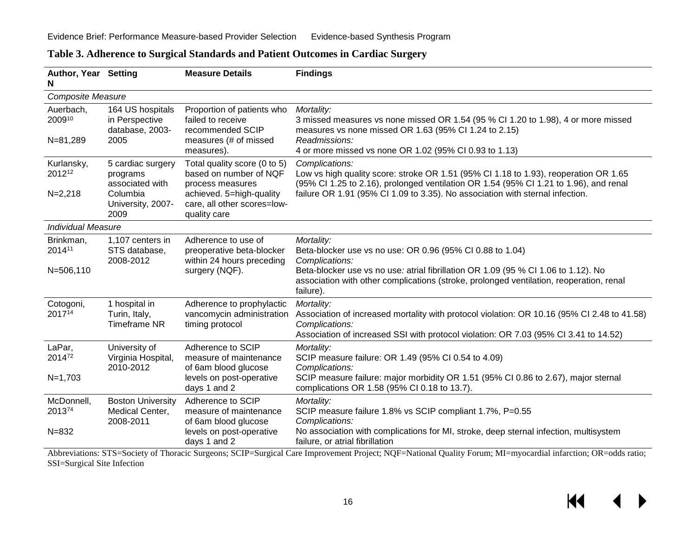<span id="page-19-0"></span>

| Author, Year Setting<br>N       |                                                               | <b>Measure Details</b>                                                                       | <b>Findings</b>                                                                                                                                                                                                     |
|---------------------------------|---------------------------------------------------------------|----------------------------------------------------------------------------------------------|---------------------------------------------------------------------------------------------------------------------------------------------------------------------------------------------------------------------|
| Composite Measure               |                                                               |                                                                                              |                                                                                                                                                                                                                     |
| Auerbach,<br>200910<br>N=81,289 | 164 US hospitals<br>in Perspective<br>database, 2003-<br>2005 | Proportion of patients who<br>failed to receive<br>recommended SCIP<br>measures (# of missed | Mortality:<br>3 missed measures vs none missed OR 1.54 (95 % CI 1.20 to 1.98), 4 or more missed<br>measures vs none missed OR 1.63 (95% CI 1.24 to 2.15)<br>Readmissions:                                           |
|                                 |                                                               | measures).                                                                                   | 4 or more missed vs none OR 1.02 (95% CI 0.93 to 1.13)                                                                                                                                                              |
| Kurlansky,<br>201212            | 5 cardiac surgery<br>programs<br>associated with              | Total quality score (0 to 5)<br>based on number of NQF<br>process measures                   | Complications:<br>Low vs high quality score: stroke OR 1.51 (95% CI 1.18 to 1.93), reoperation OR 1.65<br>(95% CI 1.25 to 2.16), prolonged ventilation OR 1.54 (95% CI 1.21 to 1.96), and renal                     |
| $N=2,218$                       | Columbia<br>University, 2007-<br>2009                         | achieved. 5=high-quality<br>care, all other scores=low-<br>quality care                      | failure OR 1.91 (95% CI 1.09 to 3.35). No association with sternal infection.                                                                                                                                       |
| <b>Individual Measure</b>       |                                                               |                                                                                              |                                                                                                                                                                                                                     |
| Brinkman,<br>201411             | 1,107 centers in<br>STS database,<br>2008-2012                | Adherence to use of<br>preoperative beta-blocker<br>within 24 hours preceding                | Mortality:<br>Beta-blocker use vs no use: OR 0.96 (95% CI 0.88 to 1.04)<br>Complications:                                                                                                                           |
| N=506,110                       |                                                               | surgery (NQF).                                                                               | Beta-blocker use vs no use: atrial fibrillation OR 1.09 (95 % CI 1.06 to 1.12). No<br>association with other complications (stroke, prolonged ventilation, reoperation, renal<br>failure).                          |
| Cotogoni,<br>201714             | 1 hospital in<br>Turin, Italy,<br><b>Timeframe NR</b>         | Adherence to prophylactic<br>vancomycin administration<br>timing protocol                    | Mortality:<br>Association of increased mortality with protocol violation: OR 10.16 (95% CI 2.48 to 41.58)<br>Complications:<br>Association of increased SSI with protocol violation: OR 7.03 (95% CI 3.41 to 14.52) |
| LaPar,<br>201472                | University of<br>Virginia Hospital,<br>2010-2012              | Adherence to SCIP<br>measure of maintenance<br>of 6am blood glucose                          | Mortality:<br>SCIP measure failure: OR 1.49 (95% CI 0.54 to 4.09)<br>Complications:                                                                                                                                 |
| $N=1,703$                       |                                                               | levels on post-operative<br>days 1 and 2                                                     | SCIP measure failure: major morbidity OR 1.51 (95% CI 0.86 to 2.67), major sternal<br>complications OR 1.58 (95% CI 0.18 to 13.7).                                                                                  |
| McDonnell,<br>201374            | <b>Boston University</b><br>Medical Center,<br>2008-2011      | Adherence to SCIP<br>measure of maintenance<br>of 6am blood glucose                          | Mortality:<br>SCIP measure failure 1.8% vs SCIP compliant 1.7%, P=0.55<br>Complications:                                                                                                                            |
| $N = 832$                       |                                                               | levels on post-operative<br>days 1 and 2                                                     | No association with complications for MI, stroke, deep sternal infection, multisystem<br>failure, or atrial fibrillation                                                                                            |

#### **Table 3. Adherence to Surgical Standards and Patient Outcomes in Cardiac Surgery**

Abbreviations: STS=Society of Thoracic Surgeons; SCIP=Surgical Care Improvement Project; NQF=National Quality Forum; MI=myocardial infarction; OR=odds ratio; SSI=Surgical Site Infection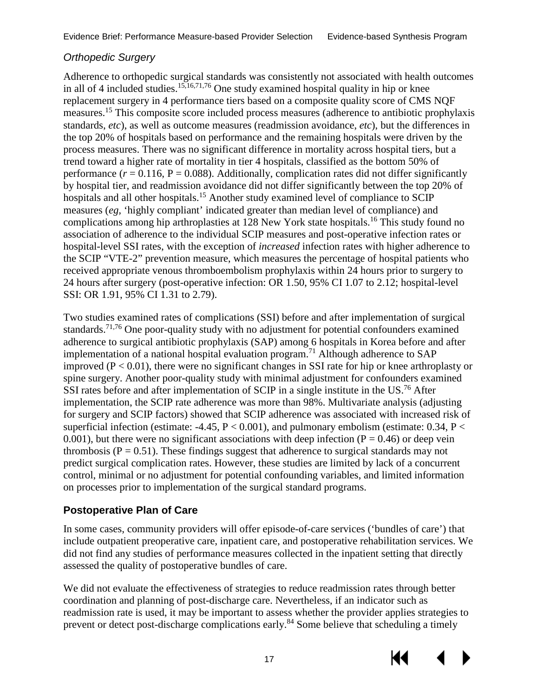#### *Orthopedic Surgery*

Adherence to orthopedic surgical standards was consistently not associated with health outcomes in all of 4 included studies.<sup>15[,16](#page-32-11)[,71](#page-36-3),76</sup> One study examined hospital quality in hip or knee replacement surgery in 4 performance tiers based on a composite quality score of CMS NQF measures[.15](#page-32-10) This composite score included process measures (adherence to antibiotic prophylaxis standards, *etc*), as well as outcome measures (readmission avoidance, *etc*), but the differences in the top 20% of hospitals based on performance and the remaining hospitals were driven by the process measures. There was no significant difference in mortality across hospital tiers, but a trend toward a higher rate of mortality in tier 4 hospitals, classified as the bottom 50% of performance  $(r = 0.116, P = 0.088)$ . Additionally, complication rates did not differ significantly by hospital tier, and readmission avoidance did not differ significantly between the top 20% of hospitals and all other hospitals.<sup>15</sup> Another study examined level of compliance to SCIP measures (*eg,* 'highly compliant' indicated greater than median level of compliance) and complications among hip arthroplasties at 128 New York state hospitals.<sup>16</sup> This study found no association of adherence to the individual SCIP measures and post-operative infection rates or hospital-level SSI rates, with the exception of *increased* infection rates with higher adherence to the SCIP "VTE-2" prevention measure, which measures the percentage of hospital patients who received appropriate venous thromboembolism prophylaxis within 24 hours prior to surgery to 24 hours after surgery (post-operative infection: OR 1.50, 95% CI 1.07 to 2.12; hospital-level SSI: OR 1.91, 95% CI 1.31 to 2.79).

Two studies examined rates of complications (SSI) before and after implementation of surgical standards.<sup>[71,](#page-36-3)[76](#page-36-6)</sup> One poor-quality study with no adjustment for potential confounders examined adherence to surgical antibiotic prophylaxis (SAP) among 6 hospitals in Korea before and after implementation of a national hospital evaluation program.<sup>71</sup> Although adherence to SAP improved ( $P < 0.01$ ), there were no significant changes in SSI rate for hip or knee arthroplasty or spine surgery. Another poor-quality study with minimal adjustment for confounders examined SSI rates before and after implementation of SCIP in a single institute in the US.<sup>76</sup> After implementation, the SCIP rate adherence was more than 98%. Multivariate analysis (adjusting for surgery and SCIP factors) showed that SCIP adherence was associated with increased risk of superficial infection (estimate:  $-4.45$ ,  $P < 0.001$ ), and pulmonary embolism (estimate: 0.34,  $P <$ 0.001), but there were no significant associations with deep infection ( $P = 0.46$ ) or deep vein thrombosis ( $P = 0.51$ ). These findings suggest that adherence to surgical standards may not predict surgical complication rates. However, these studies are limited by lack of a concurrent control, minimal or no adjustment for potential confounding variables, and limited information on processes prior to implementation of the surgical standard programs.

#### <span id="page-20-0"></span>**Postoperative Plan of Care**

In some cases, community providers will offer episode-of-care services ('bundles of care') that include outpatient preoperative care, inpatient care, and postoperative rehabilitation services. We did not find any studies of performance measures collected in the inpatient setting that directly assessed the quality of postoperative bundles of care.

We did not evaluate the effectiveness of strategies to reduce readmission rates through better coordination and planning of post-discharge care. Nevertheless, if an indicator such as readmission rate is used, it may be important to assess whether the provider applies strategies to prevent or detect post-discharge complications early.<sup>84</sup> Some believe that scheduling a timely

КI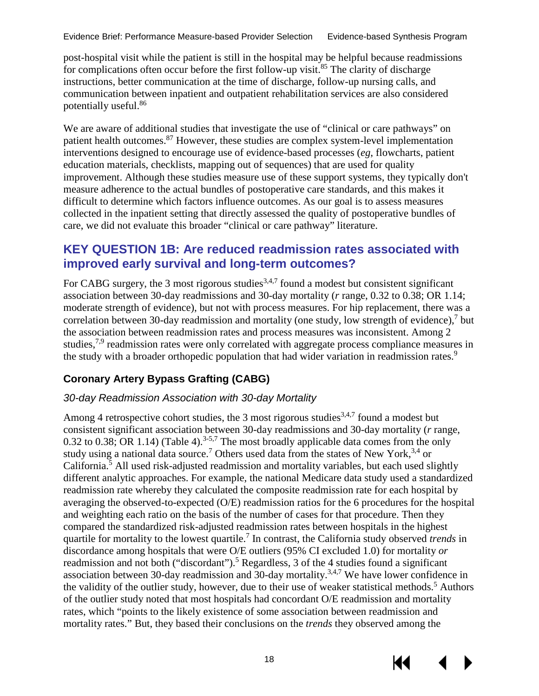post-hospital visit while the patient is still in the hospital may be helpful because readmissions for complications often occur before the first follow-up visit.<sup>85</sup> The clarity of discharge instructions, better communication at the time of discharge, follow-up nursing calls, and communication between inpatient and outpatient rehabilitation services are also considered potentially useful.[86](#page-37-5)

We are aware of additional studies that investigate the use of "clinical or care pathways" on patient health outcomes.<sup>87</sup> However, these studies are complex system-level implementation interventions designed to encourage use of evidence-based processes (*eg*, flowcharts, patient education materials, checklists, mapping out of sequences) that are used for quality improvement. Although these studies measure use of these support systems, they typically don't measure adherence to the actual bundles of postoperative care standards, and this makes it difficult to determine which factors influence outcomes. As our goal is to assess measures collected in the inpatient setting that directly assessed the quality of postoperative bundles of care, we did not evaluate this broader "clinical or care pathway" literature.

#### <span id="page-21-0"></span>**KEY QUESTION 1B: Are reduced readmission rates associated with improved early survival and long-term outcomes?**

For CABG surgery, the 3 most rigorous studies<sup>[3,](#page-32-3)[4,](#page-32-4)[7](#page-32-5)</sup> found a modest but consistent significant association between 30-day readmissions and 30-day mortality (*r* range, 0.32 to 0.38; OR 1.14; moderate strength of evidence), but not with process measures. For hip replacement, there was a correlation between 30-day readmission and mortality (one study, low strength of evidence), [7](#page-32-5) but the association between readmission rates and process measures was inconsistent. Among 2 studies,  $7.9$  $7.9$  readmission rates were only correlated with aggregate process compliance measures in the study with a broader orthopedic population that had wider variation in readmission rates.<sup>9</sup>

#### <span id="page-21-1"></span>**Coronary Artery Bypass Grafting (CABG)**

#### *30-day Readmission Association with 30-day Mortality*

Among 4 retrospective cohort studies, the 3 most rigorous studies<sup>[3,](#page-32-3)[4,](#page-32-4)[7](#page-32-5)</sup> found a modest but consistent significant association between 30-day readmissions and 30-day mortality (*r* range, 0.32 to 0.38; OR 1.14) (Table 4).<sup>3-5,[7](#page-32-5)</sup> The most broadly applicable data comes from the only study using a national data source.<sup>7</sup> Others used data from the states of New York,  $3,4$  $3,4$  or California.<sup>[5](#page-32-13)</sup> All used risk-adjusted readmission and mortality variables, but each used slightly different analytic approaches. For example, the national Medicare data study used a standardized readmission rate whereby they calculated the composite readmission rate for each hospital by averaging the observed-to-expected (O/E) readmission ratios for the 6 procedures for the hospital and weighting each ratio on the basis of the number of cases for that procedure. Then they compared the standardized risk-adjusted readmission rates between hospitals in the highest quartile for mortality to the lowest quartile[.7](#page-32-5) In contrast, the California study observed *trends* in discordance among hospitals that were O/E outliers (95% CI excluded 1.0) for mortality *or*  readmission and not both ("discordant").<sup>5</sup> Regardless, 3 of the 4 studies found a significant association between 30-day readmission and 30-day mortality.<sup>3,[4,](#page-32-4)[7](#page-32-5)</sup> We have lower confidence in the validity of the outlier study, however, due to their use of weaker statistical methods.<sup>[5](#page-32-13)</sup> Authors of the outlier study noted that most hospitals had concordant O/E readmission and mortality rates, which "points to the likely existence of some association between readmission and mortality rates." But, they based their conclusions on the *trends* they observed among the

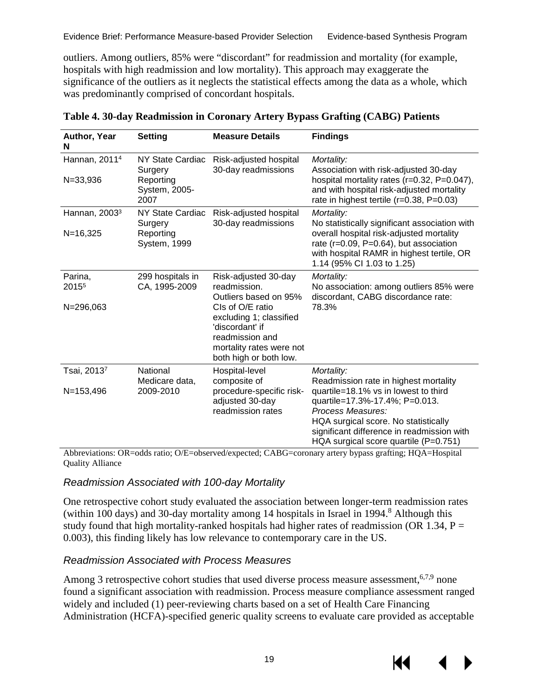Evidence Brief: Performance Measure-based Provider Selection Evidence-based Synthesis Program

outliers. Among outliers, 85% were "discordant" for readmission and mortality (for example, hospitals with high readmission and low mortality). This approach may exaggerate the significance of the outliers as it neglects the statistical effects among the data as a whole, which was predominantly comprised of concordant hospitals.

| Author, Year<br>N            | Setting                            | <b>Measure Details</b>                                                                                                                  | <b>Findings</b>                                                                                                                                                                                                            |
|------------------------------|------------------------------------|-----------------------------------------------------------------------------------------------------------------------------------------|----------------------------------------------------------------------------------------------------------------------------------------------------------------------------------------------------------------------------|
| Hannan, 2011 <sup>4</sup>    | NY State Cardiac<br>Surgery        | Risk-adjusted hospital<br>30-day readmissions                                                                                           | Mortality:<br>Association with risk-adjusted 30-day                                                                                                                                                                        |
| $N = 33,936$                 | Reporting<br>System, 2005-<br>2007 |                                                                                                                                         | hospital mortality rates (r=0.32, P=0.047),<br>and with hospital risk-adjusted mortality<br>rate in highest tertile (r=0.38, P=0.03)                                                                                       |
| Hannan, 2003 <sup>3</sup>    | NY State Cardiac<br>Surgery        | Risk-adjusted hospital<br>30-day readmissions                                                                                           | Mortality:<br>No statistically significant association with                                                                                                                                                                |
| $N = 16,325$                 | Reporting<br>System, 1999          |                                                                                                                                         | overall hospital risk-adjusted mortality<br>rate (r=0.09, P=0.64), but association<br>with hospital RAMR in highest tertile, OR<br>1.14 (95% CI 1.03 to 1.25)                                                              |
| Parina,<br>2015 <sup>5</sup> | 299 hospitals in<br>CA, 1995-2009  | Risk-adjusted 30-day<br>readmission.<br>Outliers based on 95%                                                                           | Mortality:<br>No association: among outliers 85% were<br>discordant, CABG discordance rate:                                                                                                                                |
| N=296,063                    |                                    | CIs of O/E ratio<br>excluding 1; classified<br>'discordant' if<br>readmission and<br>mortality rates were not<br>both high or both low. | 78.3%                                                                                                                                                                                                                      |
| Tsai, 20137                  | National<br>Medicare data,         | Hospital-level<br>composite of                                                                                                          | Mortality:<br>Readmission rate in highest mortality                                                                                                                                                                        |
| $N = 153,496$                | 2009-2010                          | procedure-specific risk-<br>adjusted 30-day<br>readmission rates                                                                        | quartile=18.1% vs in lowest to third<br>quartile=17.3%-17.4%; P=0.013.<br>Process Measures:<br>HQA surgical score. No statistically<br>significant difference in readmission with<br>HQA surgical score quartile (P=0.751) |

<span id="page-22-0"></span>**Table 4. 30-day Readmission in Coronary Artery Bypass Grafting (CABG) Patients** 

Abbreviations: OR=odds ratio; O/E=observed/expected; CABG=coronary artery bypass grafting; HQA=Hospital Quality Alliance

#### *Readmission Associated with 100-day Mortality*

One retrospective cohort study evaluated the association between longer-term readmission rates (within 100 days) and 30-day mortality among 14 hospitals in Israel in 1994.<sup>8</sup> Although this study found that high mortality-ranked hospitals had higher rates of readmission (OR 1.34,  $P =$ 0.003), this finding likely has low relevance to contemporary care in the US.

#### *Readmission Associated with Process Measures*

Among 3 retrospective cohort studies that used diverse process measure assessment,<sup>[6,](#page-32-14)[7,](#page-32-5)9</sup> none found a significant association with readmission. Process measure compliance assessment ranged widely and included (1) peer-reviewing charts based on a set of Health Care Financing Administration (HCFA)-specified generic quality screens to evaluate care provided as acceptable

KI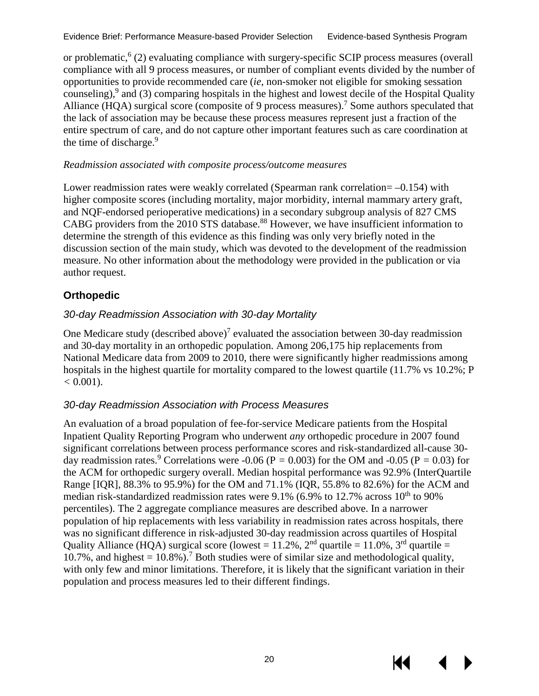or problematic,<sup>[6](#page-32-14)</sup> (2) evaluating compliance with surgery-specific SCIP process measures (overall compliance with all 9 process measures, or number of compliant events divided by the number of opportunities to provide recommended care (*ie*, non-smoker not eligible for smoking sessation counseling), $9$  and (3) comparing hospitals in the highest and lowest decile of the Hospital Quality Alliance (HQA) surgical score (composite of 9 process measures).<sup>[7](#page-32-5)</sup> Some authors speculated that the lack of association may be because these process measures represent just a fraction of the entire spectrum of care, and do not capture other important features such as care coordination at the time of discharge.<sup>[9](#page-32-6)</sup>

#### *Readmission associated with composite process/outcome measures*

Lower readmission rates were weakly correlated (Spearman rank correlation  $= -0.154$ ) with higher composite scores (including mortality, major morbidity, internal mammary artery graft, and NQF-endorsed perioperative medications) in a secondary subgroup analysis of 827 CMS CABG providers from the 2010 STS database.<sup>88</sup> However, we have insufficient information to determine the strength of this evidence as this finding was only very briefly noted in the discussion section of the main study, which was devoted to the development of the readmission measure. No other information about the methodology were provided in the publication or via author request.

#### <span id="page-23-0"></span>**Orthopedic**

#### *30-day Readmission Association with 30-day Mortality*

One Medicare study (described above)<sup>7</sup> evaluated the association between 30-day readmission and 30-day mortality in an orthopedic population. Among 206,175 hip replacements from National Medicare data from 2009 to 2010, there were significantly higher readmissions among hospitals in the highest quartile for mortality compared to the lowest quartile (11.7% vs 10.2%; P  $< 0.001$ ).

#### *30-day Readmission Association with Process Measures*

An evaluation of a broad population of fee-for-service Medicare patients from the Hospital Inpatient Quality Reporting Program who underwent *any* orthopedic procedure in 2007 found significant correlations between process performance scores and risk-standardized all-cause 30- day readmission rates.<sup>[9](#page-32-6)</sup> Correlations were -0.06 (P = 0.003) for the OM and -0.05 (P = 0.03) for the ACM for orthopedic surgery overall. Median hospital performance was 92.9% (InterQuartile Range [IQR], 88.3% to 95.9%) for the OM and 71.1% (IQR, 55.8% to 82.6%) for the ACM and median risk-standardized readmission rates were  $9.1\%$  (6.9% to 12.7% across 10<sup>th</sup> to 90% percentiles). The 2 aggregate compliance measures are described above. In a narrower population of hip replacements with less variability in readmission rates across hospitals, there was no significant difference in risk-adjusted 30-day readmission across quartiles of Hospital Quality Alliance (HQA) surgical score (lowest =  $11.2\%$ ,  $2<sup>nd</sup>$  quartile =  $11.0\%$ ,  $3<sup>rd</sup>$  quartile = 10.[7](#page-32-5)%, and highest =  $10.8\%$ ).<sup>7</sup> Both studies were of similar size and methodological quality, with only few and minor limitations. Therefore, it is likely that the significant variation in their population and process measures led to their different findings.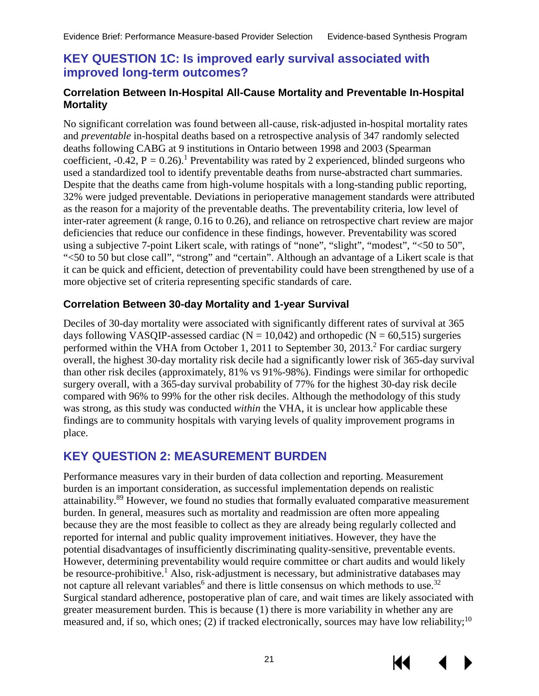#### <span id="page-24-0"></span>**KEY QUESTION 1C: Is improved early survival associated with improved long-term outcomes?**

#### <span id="page-24-1"></span>**Correlation Between In-Hospital All-Cause Mortality and Preventable In-Hospital Mortality**

No significant correlation was found between all-cause, risk-adjusted in-hospital mortality rates and *preventable* in-hospital deaths based on a retrospective analysis of 347 randomly selected deaths following CABG at 9 institutions in Ontario between 1998 and 2003 (Spearman coefficient,  $-0.42$ ,  $P = 0.26$ .<sup>1</sup> Preventability was rated by 2 experienced, blinded surgeons who used a standardized tool to identify preventable deaths from nurse-abstracted chart summaries. Despite that the deaths came from high-volume hospitals with a long-standing public reporting, 32% were judged preventable. Deviations in perioperative management standards were attributed as the reason for a majority of the preventable deaths. The preventability criteria, low level of inter-rater agreement (*k* range, 0.16 to 0.26), and reliance on retrospective chart review are major deficiencies that reduce our confidence in these findings, however. Preventability was scored using a subjective 7-point Likert scale, with ratings of "none", "slight", "modest", "<50 to 50", "<50 to 50 but close call", "strong" and "certain". Although an advantage of a Likert scale is that it can be quick and efficient, detection of preventability could have been strengthened by use of a more objective set of criteria representing specific standards of care.

#### <span id="page-24-2"></span>**Correlation Between 30-day Mortality and 1-year Survival**

Deciles of 30-day mortality were associated with significantly different rates of survival at 365 days following VASQIP-assessed cardiac ( $N = 10,042$ ) and orthopedic ( $N = 60,515$ ) surgeries performed within the VHA from October 1, 2011 to September 30, 2013.<sup>2</sup> For cardiac surgery overall, the highest 30-day mortality risk decile had a significantly lower risk of 365-day survival than other risk deciles (approximately, 81% vs 91%-98%). Findings were similar for orthopedic surgery overall, with a 365-day survival probability of 77% for the highest 30-day risk decile compared with 96% to 99% for the other risk deciles. Although the methodology of this study was strong, as this study was conducted *within* the VHA, it is unclear how applicable these findings are to community hospitals with varying levels of quality improvement programs in place.

#### <span id="page-24-3"></span>**KEY QUESTION 2: MEASUREMENT BURDEN**

Performance measures vary in their burden of data collection and reporting. Measurement burden is an important consideration, as successful implementation depends on realistic attainability[.89](#page-37-8) However, we found no studies that formally evaluated comparative measurement burden. In general, measures such as mortality and readmission are often more appealing because they are the most feasible to collect as they are already being regularly collected and reported for internal and public quality improvement initiatives. However, they have the potential disadvantages of insufficiently discriminating quality-sensitive, preventable events. However, determining preventability would require committee or chart audits and would likely be resource-prohibitive.<sup>1</sup> Also, risk-adjustment is necessary, but administrative databases may notcapture all relevant variables<sup>6</sup> and there is little consensus on which methods to use.<sup>32</sup> Surgical standard adherence, postoperative plan of care, and wait times are likely associated with greater measurement burden. This is because (1) there is more variability in whether any are measured and, if so, which ones; (2) if tracked electronically, sources may have low reliability;<sup>[10](#page-32-7)</sup>

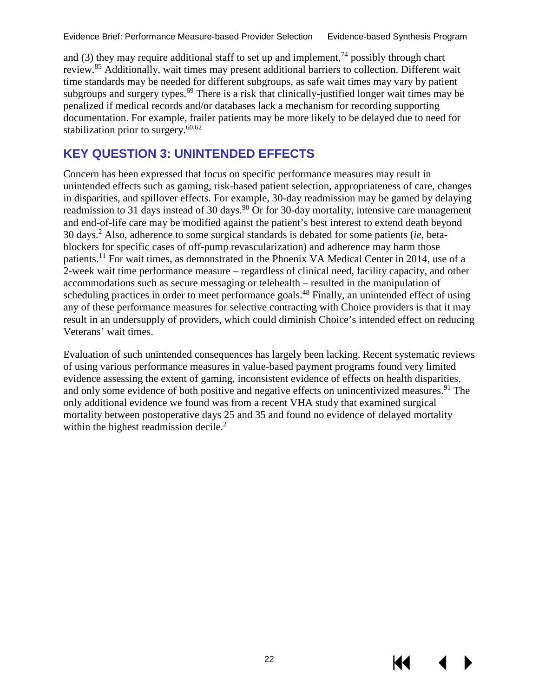and (3) they may require additional staff to set up and implement,<sup>74</sup> possibly through chart review.<sup>[85](#page-37-4)</sup> Additionally, wait times may present additional barriers to collection. Different wait time standards may be needed for different subgroups, as safe wait times may vary by patient subgroups and surgery types.<sup>69</sup> There is a risk that clinically-justified longer wait times may be penalized if medical records and/or databases lack a mechanism for recording supporting documentation. For example, frailer patients may be more likely to be delayed due to need for stabilization prior to surgery. $60,62$  $60,62$ 

### <span id="page-25-0"></span>**KEY QUESTION 3: UNINTENDED EFFECTS**

Concern has been expressed that focus on specific performance measures may result in unintended effects such as gaming, risk-based patient selection, appropriateness of care, changes in disparities, and spillover effects. For example, 30-day readmission may be gamed by delaying readmission to 31 days instead of 30 days.<sup>90</sup> Or for 30-day mortality, intensive care management and end-of-life care may be modified against the patient's best interest to extend death beyond 30 days.[2](#page-32-2) Also, adherence to some surgical standards is debated for some patients (*ie,* betablockers for specific cases of off-pump revascularization) and adherence may harm those patients.<sup>11</sup> For wait times, as demonstrated in the Phoenix VA Medical Center in 2014, use of a 2-week wait time performance measure – regardless of clinical need, facility capacity, and other accommodations such as secure messaging or telehealth – resulted in the manipulation of scheduling practices in order to meet performance goals.<sup>[48](#page-34-11)</sup> Finally, an unintended effect of using any of these performance measures for selective contracting with Choice providers is that it may result in an undersupply of providers, which could diminish Choice's intended effect on reducing Veterans' wait times.

<span id="page-25-1"></span>Evaluation of such unintended consequences has largely been lacking. Recent systematic reviews of using various performance measures in value-based payment programs found very limited evidence assessing the extent of gaming, inconsistent evidence of effects on health disparities, and only some evidence of both positive and negative effects on unincentivized measures.<sup>91</sup> The only additional evidence we found was from a recent VHA study that examined surgical mortality between postoperative days 25 and 35 and found no evidence of delayed mortality within the highest readmission decile.<sup>[2](#page-32-2)</sup>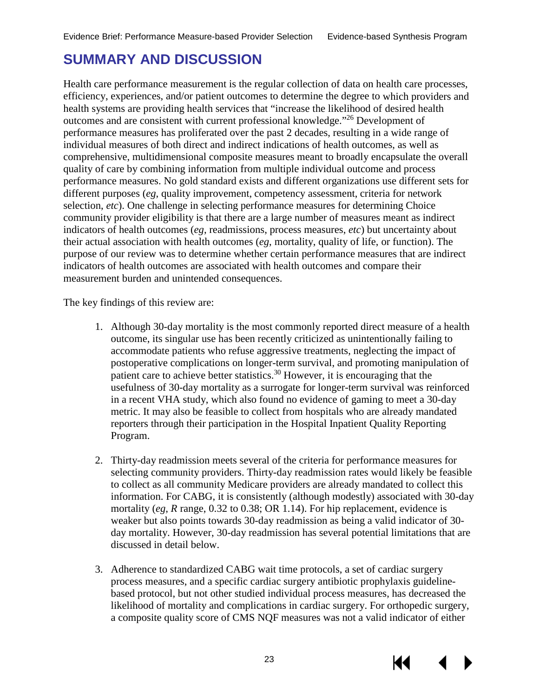### **SUMMARY AND DISCUSSION**

Health care performance measurement is the regular collection of data on health care processes, efficiency, experiences, and/or patient outcomes to determine the degree to which providers and health systems are providing health services that "increase the likelihood of desired health outcomes and are consistent with current professional knowledge."[26](#page-33-9) Development of performance measures has proliferated over the past 2 decades, resulting in a wide range of individual measures of both direct and indirect indications of health outcomes, as well as comprehensive, multidimensional composite measures meant to broadly encapsulate the overall quality of care by combining information from multiple individual outcome and process performance measures. No gold standard exists and different organizations use different sets for different purposes (*eg*, quality improvement, competency assessment, criteria for network selection, *etc*). One challenge in selecting performance measures for determining Choice community provider eligibility is that there are a large number of measures meant as indirect indicators of health outcomes (*eg*, readmissions, process measures, *etc*) but uncertainty about their actual association with health outcomes (*eg*, mortality, quality of life, or function). The purpose of our review was to determine whether certain performance measures that are indirect indicators of health outcomes are associated with health outcomes and compare their measurement burden and unintended consequences.

The key findings of this review are:

- 1. Although 30-day mortality is the most commonly reported direct measure of a health outcome, its singular use has been recently criticized as unintentionally failing to accommodate patients who refuse aggressive treatments, neglecting the impact of postoperative complications on longer-term survival, and promoting manipulation of patient care to achieve better statistics.<sup>30</sup> However, it is encouraging that the usefulness of 30-day mortality as a surrogate for longer-term survival was reinforced in a recent VHA study, which also found no evidence of gaming to meet a 30-day metric. It may also be feasible to collect from hospitals who are already mandated reporters through their participation in the Hospital Inpatient Quality Reporting Program.
- 2. Thirty-day readmission meets several of the criteria for performance measures for selecting community providers. Thirty-day readmission rates would likely be feasible to collect as all community Medicare providers are already mandated to collect this information. For CABG, it is consistently (although modestly) associated with 30-day mortality (*eg*, *R* range, 0.32 to 0.38; OR 1.14). For hip replacement, evidence is weaker but also points towards 30-day readmission as being a valid indicator of 30 day mortality. However, 30-day readmission has several potential limitations that are discussed in detail below.
- 3. Adherence to standardized CABG wait time protocols, a set of cardiac surgery process measures, and a specific cardiac surgery antibiotic prophylaxis guidelinebased protocol, but not other studied individual process measures, has decreased the likelihood of mortality and complications in cardiac surgery. For orthopedic surgery, a composite quality score of CMS NQF measures was not a valid indicator of either

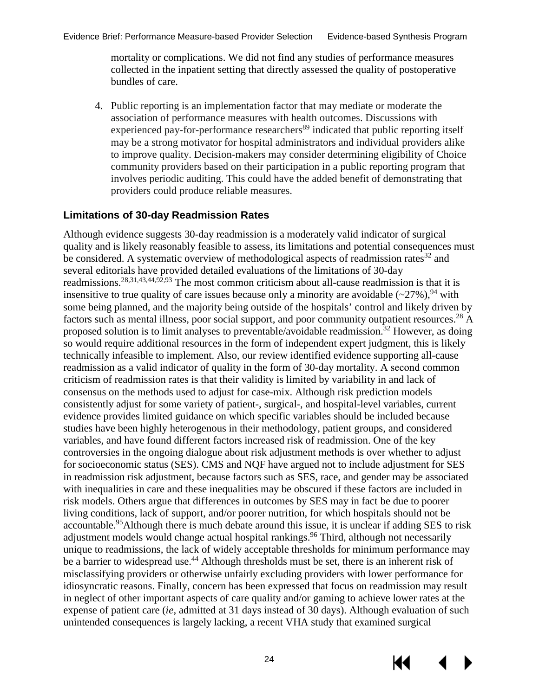mortality or complications. We did not find any studies of performance measures collected in the inpatient setting that directly assessed the quality of postoperative bundles of care.

4. Public reporting is an implementation factor that may mediate or moderate the association of performance measures with health outcomes. Discussions with experienced pay-for-performance researchers<sup>[89](#page-37-8)</sup> indicated that public reporting itself may be a strong motivator for hospital administrators and individual providers alike to improve quality. Decision-makers may consider determining eligibility of Choice community providers based on their participation in a public reporting program that involves periodic auditing. This could have the added benefit of demonstrating that providers could produce reliable measures.

#### <span id="page-27-0"></span>**Limitations of 30-day Readmission Rates**

Although evidence suggests 30-day readmission is a moderately valid indicator of surgical quality and is likely reasonably feasible to assess, its limitations and potential consequences must be considered. A systematic overview of methodological aspects of readmission rates<sup>[32](#page-33-15)</sup> and several editorials have provided detailed evaluations of the limitations of 30-day readmissions.<sup>[28,](#page-33-11)[31,](#page-33-14)[43,](#page-34-6)[44,](#page-34-7)[92,](#page-37-11)[93](#page-37-12)</sup> The most common criticism about all-cause readmission is that it is insensitive to true quality of care issues because only a minority are avoidable  $(\sim 27\%)$ , <sup>[94](#page-37-13)</sup> with some being planned, and the majority being outside of the hospitals' control and likely driven by factors such as mental illness, poor social support, and poor community outpatient resources.<sup>[28](#page-33-11)</sup> A proposed solution is to limit analyses to preventable/avoidable readmission.<sup>[32](#page-33-15)</sup> However, as doing so would require additional resources in the form of independent expert judgment, this is likely technically infeasible to implement. Also, our review identified evidence supporting all-cause readmission as a valid indicator of quality in the form of 30-day mortality. A second common criticism of readmission rates is that their validity is limited by variability in and lack of consensus on the methods used to adjust for case-mix. Although risk prediction models consistently adjust for some variety of patient-, surgical-, and hospital-level variables, current evidence provides limited guidance on which specific variables should be included because studies have been highly heterogenous in their methodology, patient groups, and considered variables, and have found different factors increased risk of readmission. One of the key controversies in the ongoing dialogue about risk adjustment methods is over whether to adjust for socioeconomic status (SES). CMS and NQF have argued not to include adjustment for SES in readmission risk adjustment, because factors such as SES, race, and gender may be associated with inequalities in care and these inequalities may be obscured if these factors are included in risk models. Others argue that differences in outcomes by SES may in fact be due to poorer living conditions, lack of support, and/or poorer nutrition, for which hospitals should not be accountable.[95](#page-37-14)Although there is much debate around this issue, it is unclear if adding SES to risk adjustment models would change actual hospital rankings.<sup>[96](#page-37-15)</sup> Third, although not necessarily unique to readmissions, the lack of widely acceptable thresholds for minimum performance may be a barrier to widespread use.<sup>[44](#page-34-7)</sup> Although thresholds must be set, there is an inherent risk of misclassifying providers or otherwise unfairly excluding providers with lower performance for idiosyncratic reasons. Finally, concern has been expressed that focus on readmission may result in neglect of other important aspects of care quality and/or gaming to achieve lower rates at the expense of patient care (*ie*, admitted at 31 days instead of 30 days). Although evaluation of such unintended consequences is largely lacking, a recent VHA study that examined surgical

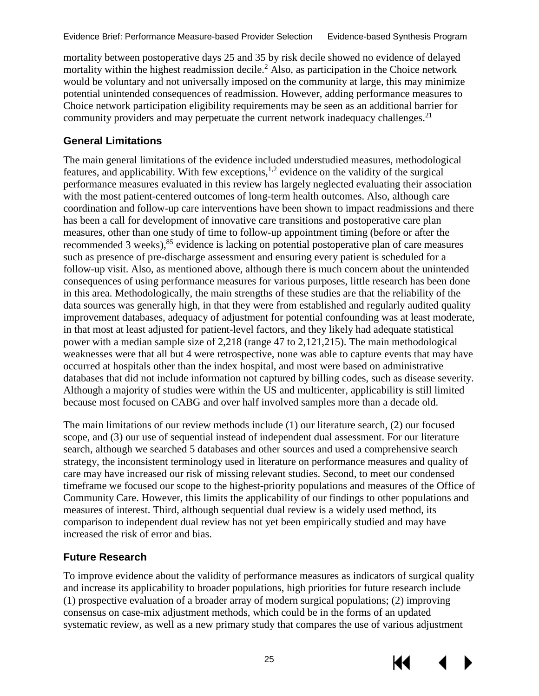mortality between postoperative days 25 and 35 by risk decile showed no evidence of delayed mortality within the highest readmission decile.[2](#page-32-2) Also, as participation in the Choice network would be voluntary and not universally imposed on the community at large, this may minimize potential unintended consequences of readmission. However, adding performance measures to Choice network participation eligibility requirements may be seen as an additional barrier for community providers and may perpetuate the current network inadequacy challenges.<sup>21</sup>

#### <span id="page-28-0"></span>**General Limitations**

The main general limitations of the evidence included understudied measures, methodological features, and applicability. With few exceptions,<sup>[1,](#page-32-1)[2](#page-32-2)</sup> evidence on the validity of the surgical performance measures evaluated in this review has largely neglected evaluating their association with the most patient-centered outcomes of long-term health outcomes. Also, although care coordination and follow-up care interventions have been shown to impact readmissions and there has been a call for development of innovative care transitions and postoperative care plan measures, other than one study of time to follow-up appointment timing (before or after the recommended 3 weeks),<sup>[85](#page-37-4)</sup> evidence is lacking on potential postoperative plan of care measures such as presence of pre-discharge assessment and ensuring every patient is scheduled for a follow-up visit. Also, as mentioned above, although there is much concern about the unintended consequences of using performance measures for various purposes, little research has been done in this area. Methodologically, the main strengths of these studies are that the reliability of the data sources was generally high, in that they were from established and regularly audited quality improvement databases, adequacy of adjustment for potential confounding was at least moderate, in that most at least adjusted for patient-level factors, and they likely had adequate statistical power with a median sample size of 2,218 (range 47 to 2,121,215). The main methodological weaknesses were that all but 4 were retrospective, none was able to capture events that may have occurred at hospitals other than the index hospital, and most were based on administrative databases that did not include information not captured by billing codes, such as disease severity. Although a majority of studies were within the US and multicenter, applicability is still limited because most focused on CABG and over half involved samples more than a decade old.

The main limitations of our review methods include (1) our literature search, (2) our focused scope, and (3) our use of sequential instead of independent dual assessment. For our literature search, although we searched 5 databases and other sources and used a comprehensive search strategy, the inconsistent terminology used in literature on performance measures and quality of care may have increased our risk of missing relevant studies. Second, to meet our condensed timeframe we focused our scope to the highest-priority populations and measures of the Office of Community Care. However, this limits the applicability of our findings to other populations and measures of interest. Third, although sequential dual review is a widely used method, its comparison to independent dual review has not yet been empirically studied and may have increased the risk of error and bias.

#### <span id="page-28-1"></span>**Future Research**

To improve evidence about the validity of performance measures as indicators of surgical quality and increase its applicability to broader populations, high priorities for future research include (1) prospective evaluation of a broader array of modern surgical populations; (2) improving consensus on case-mix adjustment methods, which could be in the forms of an updated systematic review, as well as a new primary study that compares the use of various adjustment



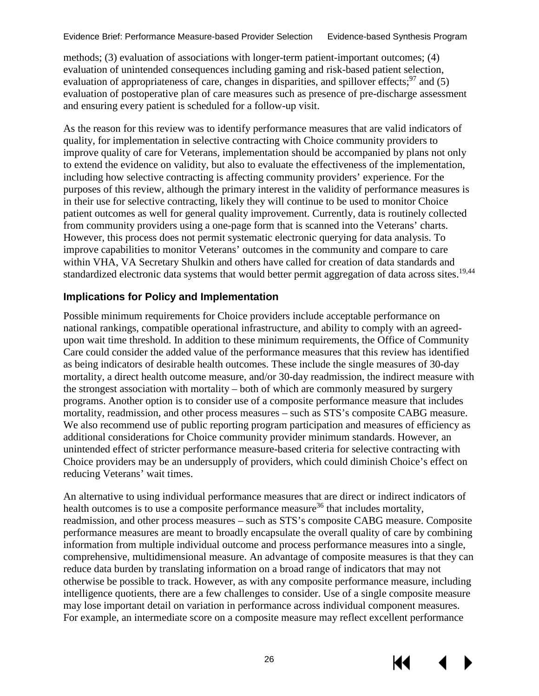methods; (3) evaluation of associations with longer-term patient-important outcomes; (4) evaluation of unintended consequences including gaming and risk-based patient selection, evaluation of appropriateness of care, changes in disparities, and spillover effects;<sup>[97](#page-37-16)</sup> and (5) evaluation of postoperative plan of care measures such as presence of pre-discharge assessment and ensuring every patient is scheduled for a follow-up visit.

As the reason for this review was to identify performance measures that are valid indicators of quality, for implementation in selective contracting with Choice community providers to improve quality of care for Veterans, implementation should be accompanied by plans not only to extend the evidence on validity, but also to evaluate the effectiveness of the implementation, including how selective contracting is affecting community providers' experience. For the purposes of this review, although the primary interest in the validity of performance measures is in their use for selective contracting, likely they will continue to be used to monitor Choice patient outcomes as well for general quality improvement. Currently, data is routinely collected from community providers using a one-page form that is scanned into the Veterans' charts. However, this process does not permit systematic electronic querying for data analysis. To improve capabilities to monitor Veterans' outcomes in the community and compare to care within VHA, VA Secretary Shulkin and others have called for creation of data standards and standardized electronic data systems that would better permit aggregation of data across sites.<sup>[19,](#page-33-2)[44](#page-34-7)</sup>

#### <span id="page-29-0"></span>**Implications for Policy and Implementation**

Possible minimum requirements for Choice providers include acceptable performance on national rankings, compatible operational infrastructure, and ability to comply with an agreedupon wait time threshold. In addition to these minimum requirements, the Office of Community Care could consider the added value of the performance measures that this review has identified as being indicators of desirable health outcomes. These include the single measures of 30-day mortality, a direct health outcome measure, and/or 30-day readmission, the indirect measure with the strongest association with mortality – both of which are commonly measured by surgery programs. Another option is to consider use of a composite performance measure that includes mortality, readmission, and other process measures – such as STS's composite CABG measure. We also recommend use of public reporting program participation and measures of efficiency as additional considerations for Choice community provider minimum standards. However, an unintended effect of stricter performance measure-based criteria for selective contracting with Choice providers may be an undersupply of providers, which could diminish Choice's effect on reducing Veterans' wait times.

An alternative to using individual performance measures that are direct or indirect indicators of health outcomes is to use a composite performance measure<sup>36</sup> that includes mortality, readmission, and other process measures – such as STS's composite CABG measure. Composite performance measures are meant to broadly encapsulate the overall quality of care by combining information from multiple individual outcome and process performance measures into a single, comprehensive, multidimensional measure. An advantage of composite measures is that they can reduce data burden by translating information on a broad range of indicators that may not otherwise be possible to track. However, as with any composite performance measure, including intelligence quotients, there are a few challenges to consider. Use of a single composite measure may lose important detail on variation in performance across individual component measures. For example, an intermediate score on a composite measure may reflect excellent performance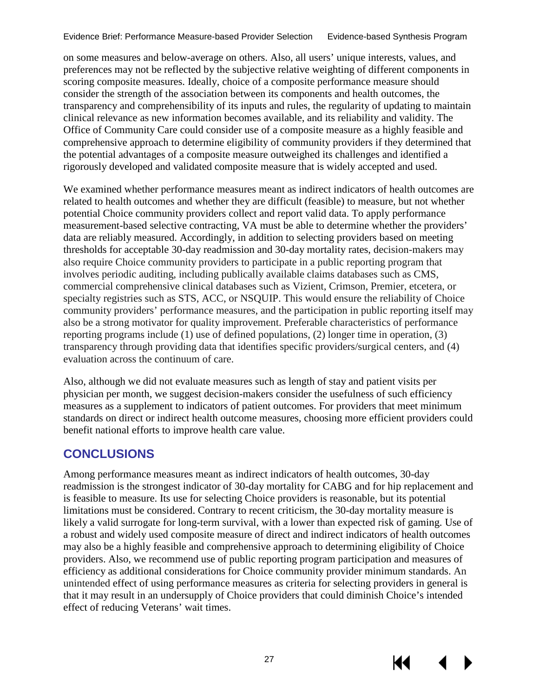on some measures and below-average on others. Also, all users' unique interests, values, and preferences may not be reflected by the subjective relative weighting of different components in scoring composite measures. Ideally, choice of a composite performance measure should consider the strength of the association between its components and health outcomes, the transparency and comprehensibility of its inputs and rules, the regularity of updating to maintain clinical relevance as new information becomes available, and its reliability and validity. The Office of Community Care could consider use of a composite measure as a highly feasible and comprehensive approach to determine eligibility of community providers if they determined that the potential advantages of a composite measure outweighed its challenges and identified a rigorously developed and validated composite measure that is widely accepted and used.

We examined whether performance measures meant as indirect indicators of health outcomes are related to health outcomes and whether they are difficult (feasible) to measure, but not whether potential Choice community providers collect and report valid data. To apply performance measurement-based selective contracting, VA must be able to determine whether the providers' data are reliably measured. Accordingly, in addition to selecting providers based on meeting thresholds for acceptable 30-day readmission and 30-day mortality rates, decision-makers may also require Choice community providers to participate in a public reporting program that involves periodic auditing, including publically available claims databases such as CMS, commercial comprehensive clinical databases such as Vizient, Crimson, Premier, etcetera, or specialty registries such as STS, ACC, or NSQUIP. This would ensure the reliability of Choice community providers' performance measures, and the participation in public reporting itself may also be a strong motivator for quality improvement. Preferable characteristics of performance reporting programs include (1) use of defined populations, (2) longer time in operation, (3) transparency through providing data that identifies specific providers/surgical centers, and (4) evaluation across the continuum of care.

Also, although we did not evaluate measures such as length of stay and patient visits per physician per month, we suggest decision-makers consider the usefulness of such efficiency measures as a supplement to indicators of patient outcomes. For providers that meet minimum standards on direct or indirect health outcome measures, choosing more efficient providers could benefit national efforts to improve health care value.

### <span id="page-30-0"></span>**CONCLUSIONS**

Among performance measures meant as indirect indicators of health outcomes, 30-day readmission is the strongest indicator of 30-day mortality for CABG and for hip replacement and is feasible to measure. Its use for selecting Choice providers is reasonable, but its potential limitations must be considered. Contrary to recent criticism, the 30-day mortality measure is likely a valid surrogate for long-term survival, with a lower than expected risk of gaming. Use of a robust and widely used composite measure of direct and indirect indicators of health outcomes may also be a highly feasible and comprehensive approach to determining eligibility of Choice providers. Also, we recommend use of public reporting program participation and measures of efficiency as additional considerations for Choice community provider minimum standards. An unintended effect of using performance measures as criteria for selecting providers in general is that it may result in an undersupply of Choice providers that could diminish Choice's intended effect of reducing Veterans' wait times.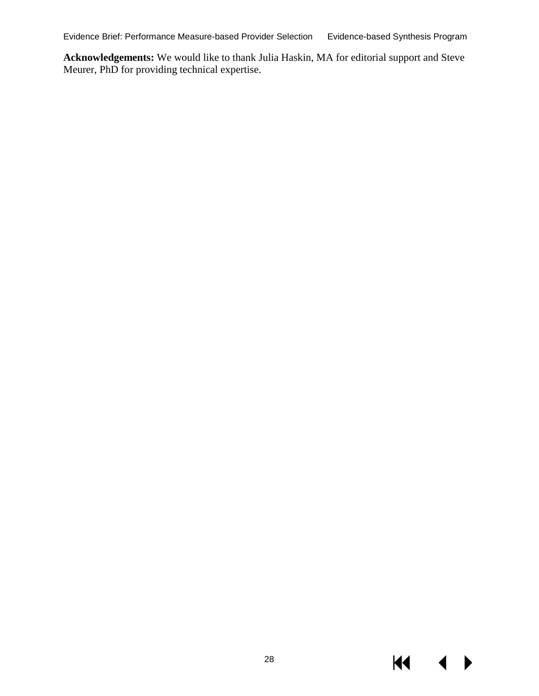Evidence Brief: Performance Measure-based Provider Selection Evidence-based Synthesis Program

**Acknowledgements:** We would like to thank Julia Haskin, MA for editorial support and Steve Meurer, PhD for providing technical expertise.

 $M \cdot 1$ 

 $\blacktriangleright$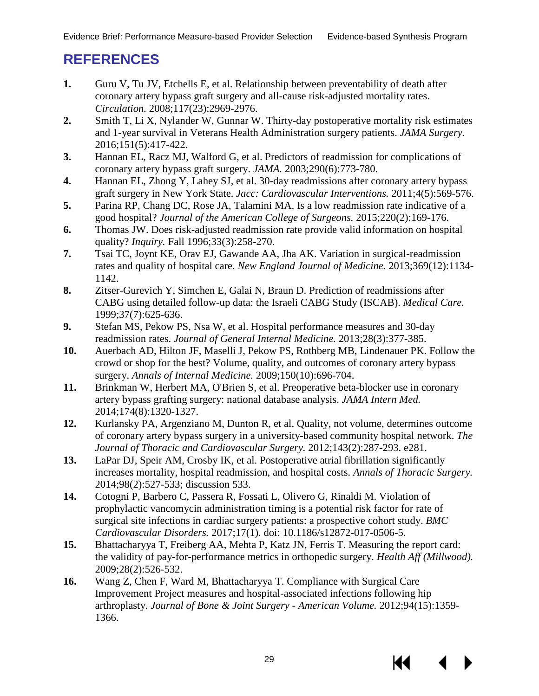### <span id="page-32-0"></span>**REFERENCES**

- <span id="page-32-1"></span>**1.** Guru V, Tu JV, Etchells E, et al. Relationship between preventability of death after coronary artery bypass graft surgery and all-cause risk-adjusted mortality rates. *Circulation.* 2008;117(23):2969-2976.
- <span id="page-32-2"></span>**2.** Smith T, Li X, Nylander W, Gunnar W. Thirty-day postoperative mortality risk estimates and 1-year survival in Veterans Health Administration surgery patients. *JAMA Surgery.* 2016;151(5):417-422.
- <span id="page-32-3"></span>**3.** Hannan EL, Racz MJ, Walford G, et al. Predictors of readmission for complications of coronary artery bypass graft surgery. *JAMA.* 2003;290(6):773-780.
- <span id="page-32-17"></span><span id="page-32-4"></span>**4.** Hannan EL, Zhong Y, Lahey SJ, et al. 30-day readmissions after coronary artery bypass graft surgery in New York State. *Jacc: Cardiovascular Interventions.* 2011;4(5):569-576.
- <span id="page-32-13"></span>**5.** Parina RP, Chang DC, Rose JA, Talamini MA. Is a low readmission rate indicative of a good hospital? *Journal of the American College of Surgeons.* 2015;220(2):169-176.
- <span id="page-32-14"></span>**6.** Thomas JW. Does risk-adjusted readmission rate provide valid information on hospital quality? *Inquiry.* Fall 1996;33(3):258-270.
- <span id="page-32-18"></span><span id="page-32-5"></span>**7.** Tsai TC, Joynt KE, Orav EJ, Gawande AA, Jha AK. Variation in surgical-readmission rates and quality of hospital care. *New England Journal of Medicine.* 2013;369(12):1134- 1142.
- <span id="page-32-12"></span>**8.** Zitser-Gurevich Y, Simchen E, Galai N, Braun D. Prediction of readmissions after CABG using detailed follow-up data: the Israeli CABG Study (ISCAB). *Medical Care.* 1999;37(7):625-636.
- <span id="page-32-19"></span><span id="page-32-6"></span>**9.** Stefan MS, Pekow PS, Nsa W, et al. Hospital performance measures and 30-day readmission rates. *Journal of General Internal Medicine.* 2013;28(3):377-385.
- <span id="page-32-7"></span>**10.** Auerbach AD, Hilton JF, Maselli J, Pekow PS, Rothberg MB, Lindenauer PK. Follow the crowd or shop for the best? Volume, quality, and outcomes of coronary artery bypass surgery. *Annals of Internal Medicine.* 2009;150(10):696-704.
- <span id="page-32-15"></span>**11.** Brinkman W, Herbert MA, O'Brien S, et al. Preoperative beta-blocker use in coronary artery bypass grafting surgery: national database analysis. *JAMA Intern Med.* 2014;174(8):1320-1327.
- <span id="page-32-8"></span>**12.** Kurlansky PA, Argenziano M, Dunton R, et al. Quality, not volume, determines outcome of coronary artery bypass surgery in a university-based community hospital network. *The Journal of Thoracic and Cardiovascular Surgery.* 2012;143(2):287-293. e281.
- <span id="page-32-16"></span>**13.** LaPar DJ, Speir AM, Crosby IK, et al. Postoperative atrial fibrillation significantly increases mortality, hospital readmission, and hospital costs. *Annals of Thoracic Surgery.* 2014;98(2):527-533; discussion 533.
- <span id="page-32-9"></span>**14.** Cotogni P, Barbero C, Passera R, Fossati L, Olivero G, Rinaldi M. Violation of prophylactic vancomycin administration timing is a potential risk factor for rate of surgical site infections in cardiac surgery patients: a prospective cohort study. *BMC Cardiovascular Disorders.* 2017;17(1). doi: 10.1186/s12872-017-0506-5.
- <span id="page-32-10"></span>**15.** Bhattacharyya T, Freiberg AA, Mehta P, Katz JN, Ferris T. Measuring the report card: the validity of pay-for-performance metrics in orthopedic surgery. *Health Aff (Millwood).* 2009;28(2):526-532.
- <span id="page-32-11"></span>**16.** Wang Z, Chen F, Ward M, Bhattacharyya T. Compliance with Surgical Care Improvement Project measures and hospital-associated infections following hip arthroplasty. *Journal of Bone & Joint Surgery - American Volume.* 2012;94(15):1359- 1366.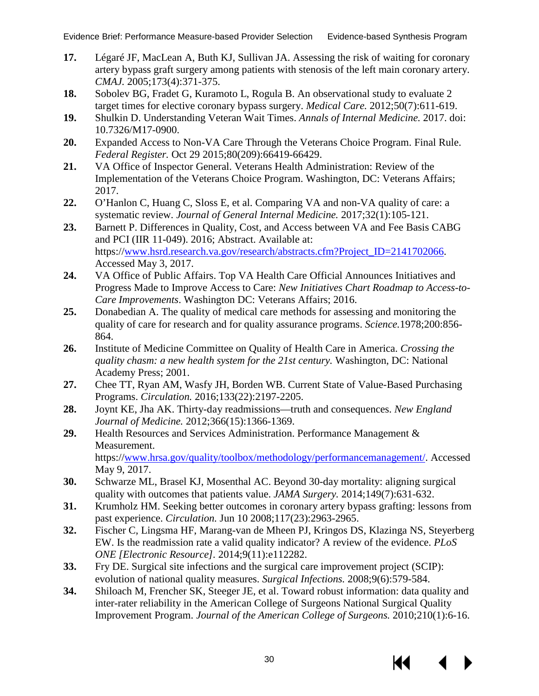- <span id="page-33-0"></span>**17.** Légaré JF, MacLean A, Buth KJ, Sullivan JA. Assessing the risk of waiting for coronary artery bypass graft surgery among patients with stenosis of the left main coronary artery. *CMAJ.* 2005;173(4):371-375.
- <span id="page-33-1"></span>**18.** Sobolev BG, Fradet G, Kuramoto L, Rogula B. An observational study to evaluate 2 target times for elective coronary bypass surgery. *Medical Care.* 2012;50(7):611-619.
- <span id="page-33-2"></span>**19.** Shulkin D. Understanding Veteran Wait Times. *Annals of Internal Medicine.* 2017. doi: 10.7326/M17-0900.
- <span id="page-33-3"></span>**20.** Expanded Access to Non-VA Care Through the Veterans Choice Program. Final Rule. *Federal Register.* Oct 29 2015;80(209):66419-66429.
- <span id="page-33-4"></span>**21.** VA Office of Inspector General. Veterans Health Administration: Review of the Implementation of the Veterans Choice Program. Washington, DC: Veterans Affairs; 2017.
- <span id="page-33-5"></span>**22.** O'Hanlon C, Huang C, Sloss E, et al. Comparing VA and non-VA quality of care: a systematic review. *Journal of General Internal Medicine.* 2017;32(1):105-121.
- <span id="page-33-6"></span>23. Barnett P. Differences in Quality, Cost, and Access between VA and Fee Basis CABG and PCI (IIR 11-049). 2016; Abstract. Available at: https:/[/www.hsrd.research.va.gov/research/abstracts.cfm?Project\\_ID=2141702066.](http://www.hsrd.research.va.gov/research/abstracts.cfm?Project_ID=2141702066) Accessed May 3, 2017.
- <span id="page-33-7"></span>**24.** VA Office of Public Affairs. Top VA Health Care Official Announces Initiatives and Progress Made to Improve Access to Care: *New Initiatives Chart Roadmap to Access-to-Care Improvements*. Washington DC: Veterans Affairs; 2016.
- <span id="page-33-8"></span>**25.** Donabedian A. The quality of medical care methods for assessing and monitoring the quality of care for research and for quality assurance programs. *Science.*1978;200:856- 864.
- <span id="page-33-9"></span>**26.** Institute of Medicine Committee on Quality of Health Care in America. *Crossing the quality chasm: a new health system for the 21st century.* Washington, DC: National Academy Press; 2001.
- <span id="page-33-10"></span>**27.** Chee TT, Ryan AM, Wasfy JH, Borden WB. Current State of Value-Based Purchasing Programs. *Circulation.* 2016;133(22):2197-2205.
- <span id="page-33-11"></span>**28.** Joynt KE, Jha AK. Thirty-day readmissions—truth and consequences. *New England Journal of Medicine.* 2012;366(15):1366-1369.
- <span id="page-33-12"></span>**29.** Health Resources and Services Administration. Performance Management & Measurement. https:/[/www.hrsa.gov/quality/toolbox/methodology/performancemanagement/.](http://www.hrsa.gov/quality/toolbox/methodology/performancemanagement/) Accessed May 9, 2017.
- <span id="page-33-13"></span>**30.** Schwarze ML, Brasel KJ, Mosenthal AC. Beyond 30-day mortality: aligning surgical quality with outcomes that patients value. *JAMA Surgery.* 2014;149(7):631-632.
- <span id="page-33-14"></span>**31.** Krumholz HM. Seeking better outcomes in coronary artery bypass grafting: lessons from past experience. *Circulation.* Jun 10 2008;117(23):2963-2965.
- <span id="page-33-15"></span>**32.** Fischer C, Lingsma HF, Marang-van de Mheen PJ, Kringos DS, Klazinga NS, Steyerberg EW. Is the readmission rate a valid quality indicator? A review of the evidence. *PLoS ONE [Electronic Resource].* 2014;9(11):e112282.
- <span id="page-33-16"></span>**33.** Fry DE. Surgical site infections and the surgical care improvement project (SCIP): evolution of national quality measures. *Surgical Infections.* 2008;9(6):579-584.
- <span id="page-33-17"></span>**34.** Shiloach M, Frencher SK, Steeger JE, et al. Toward robust information: data quality and inter-rater reliability in the American College of Surgeons National Surgical Quality Improvement Program. *Journal of the American College of Surgeons.* 2010;210(1):6-16.

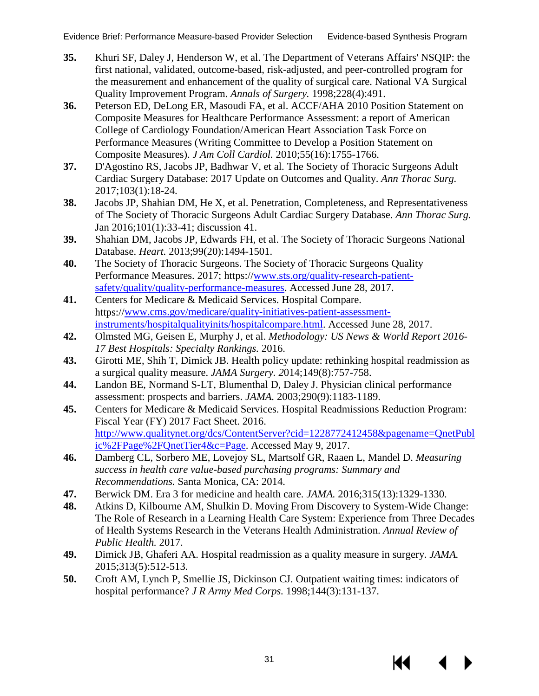- <span id="page-34-0"></span>**35.** Khuri SF, Daley J, Henderson W, et al. The Department of Veterans Affairs' NSQIP: the first national, validated, outcome-based, risk-adjusted, and peer-controlled program for the measurement and enhancement of the quality of surgical care. National VA Surgical Quality Improvement Program. *Annals of Surgery.* 1998;228(4):491.
- <span id="page-34-1"></span>**36.** Peterson ED, DeLong ER, Masoudi FA, et al. ACCF/AHA 2010 Position Statement on Composite Measures for Healthcare Performance Assessment: a report of American College of Cardiology Foundation/American Heart Association Task Force on Performance Measures (Writing Committee to Develop a Position Statement on Composite Measures). *J Am Coll Cardiol.* 2010;55(16):1755-1766.
- <span id="page-34-2"></span>**37.** D'Agostino RS, Jacobs JP, Badhwar V, et al. The Society of Thoracic Surgeons Adult Cardiac Surgery Database: 2017 Update on Outcomes and Quality. *Ann Thorac Surg.* 2017;103(1):18-24.
- **38.** Jacobs JP, Shahian DM, He X, et al. Penetration, Completeness, and Representativeness of The Society of Thoracic Surgeons Adult Cardiac Surgery Database. *Ann Thorac Surg.* Jan 2016;101(1):33-41; discussion 41.
- **39.** Shahian DM, Jacobs JP, Edwards FH, et al. The Society of Thoracic Surgeons National Database. *Heart.* 2013;99(20):1494-1501.
- <span id="page-34-3"></span>**40.** The Society of Thoracic Surgeons. The Society of Thoracic Surgeons Quality Performance Measures. 2017; https:/[/www.sts.org/quality-research-patient](http://www.sts.org/quality-research-patient-safety/quality/quality-performance-measures)[safety/quality/quality-performance-measures.](http://www.sts.org/quality-research-patient-safety/quality/quality-performance-measures) Accessed June 28, 2017.
- <span id="page-34-4"></span>**41.** Centers for Medicare & Medicaid Services. Hospital Compare. https:/[/www.cms.gov/medicare/quality-initiatives-patient-assessment](http://www.cms.gov/medicare/quality-initiatives-patient-assessment-instruments/hospitalqualityinits/hospitalcompare.html)[instruments/hospitalqualityinits/hospitalcompare.html.](http://www.cms.gov/medicare/quality-initiatives-patient-assessment-instruments/hospitalqualityinits/hospitalcompare.html) Accessed June 28, 2017.
- <span id="page-34-5"></span>**42.** Olmsted MG, Geisen E, Murphy J, et al. *Methodology: US News & World Report 2016- 17 Best Hospitals: Specialty Rankings.* 2016.
- <span id="page-34-6"></span>**43.** Girotti ME, Shih T, Dimick JB. Health policy update: rethinking hospital readmission as a surgical quality measure. *JAMA Surgery. 2*014;149(8):757-758.
- <span id="page-34-7"></span>**44.** Landon BE, Normand S-LT, Blumenthal D, Daley J. Physician clinical performance assessment: prospects and barriers. *JAMA.* 2003;290(9):1183-1189.
- <span id="page-34-8"></span>**45.** Centers for Medicare & Medicaid Services. Hospital Readmissions Reduction Program: Fiscal Year (FY) 2017 Fact Sheet. 2016. [http://www.qualitynet.org/dcs/ContentServer?cid=1228772412458&pagename=QnetPubl](http://www.qualitynet.org/dcs/ContentServer?cid=1228772412458&pagename=QnetPublic%2FPage%2FQnetTier4&c=Page) [ic%2FPage%2FQnetTier4&c=Page.](http://www.qualitynet.org/dcs/ContentServer?cid=1228772412458&pagename=QnetPublic%2FPage%2FQnetTier4&c=Page) Accessed May 9, 2017.
- <span id="page-34-9"></span>**46.** Damberg CL, Sorbero ME, Lovejoy SL, Martsolf GR, Raaen L, Mandel D. *Measuring success in health care value-based purchasing programs: Summary and Recommendations.* Santa Monica, CA: 2014.
- <span id="page-34-10"></span>**47.** Berwick DM. Era 3 for medicine and health care. *JAMA.* 2016;315(13):1329-1330.
- <span id="page-34-11"></span>**48.** Atkins D, Kilbourne AM, Shulkin D. Moving From Discovery to System-Wide Change: The Role of Research in a Learning Health Care System: Experience from Three Decades of Health Systems Research in the Veterans Health Administration. *Annual Review of Public Health.* 2017.
- <span id="page-34-12"></span>**49.** Dimick JB, Ghaferi AA. Hospital readmission as a quality measure in surgery. *JAMA.* 2015;313(5):512-513.
- <span id="page-34-13"></span>**50.** Croft AM, Lynch P, Smellie JS, Dickinson CJ. Outpatient waiting times: indicators of hospital performance? *J R Army Med Corps.* 1998;144(3):131-137.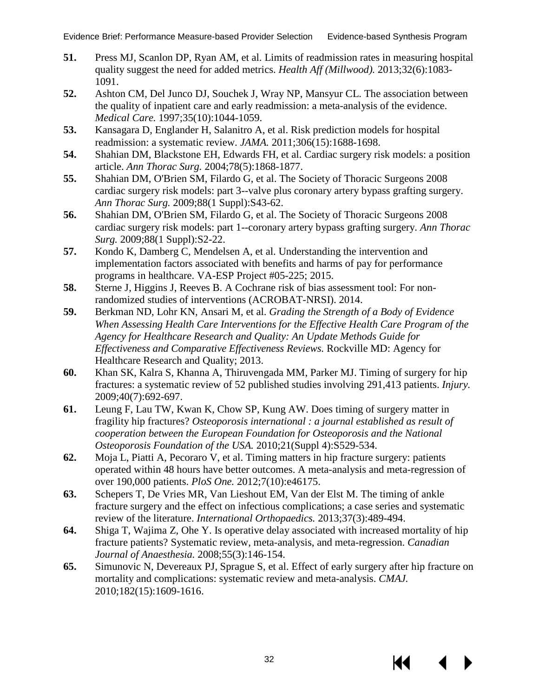- <span id="page-35-0"></span>**51.** Press MJ, Scanlon DP, Ryan AM, et al. Limits of readmission rates in measuring hospital quality suggest the need for added metrics. *Health Aff (Millwood).* 2013;32(6):1083- 1091.
- <span id="page-35-1"></span>**52.** Ashton CM, Del Junco DJ, Souchek J, Wray NP, Mansyur CL. The association between the quality of inpatient care and early readmission: a meta-analysis of the evidence. *Medical Care.* 1997;35(10):1044-1059.
- <span id="page-35-2"></span>**53.** Kansagara D, Englander H, Salanitro A, et al. Risk prediction models for hospital readmission: a systematic review. *JAMA.* 2011;306(15):1688-1698.
- **54.** Shahian DM, Blackstone EH, Edwards FH, et al. Cardiac surgery risk models: a position article. *Ann Thorac Surg.* 2004;78(5):1868-1877.
- **55.** Shahian DM, O'Brien SM, Filardo G, et al. The Society of Thoracic Surgeons 2008 cardiac surgery risk models: part 3--valve plus coronary artery bypass grafting surgery. *Ann Thorac Surg.* 2009;88(1 Suppl):S43-62.
- **56.** Shahian DM, O'Brien SM, Filardo G, et al. The Society of Thoracic Surgeons 2008 cardiac surgery risk models: part 1--coronary artery bypass grafting surgery. *Ann Thorac Surg.* 2009;88(1 Suppl):S2-22.
- <span id="page-35-3"></span>**57.** Kondo K, Damberg C, Mendelsen A, et al. Understanding the intervention and implementation factors associated with benefits and harms of pay for performance programs in healthcare. VA-ESP Project #05-225; 2015.
- <span id="page-35-4"></span>**58.** Sterne J, Higgins J, Reeves B. A Cochrane risk of bias assessment tool: For nonrandomized studies of interventions (ACROBAT-NRSI). 2014.
- <span id="page-35-5"></span>**59.** Berkman ND, Lohr KN, Ansari M, et al. *Grading the Strength of a Body of Evidence When Assessing Health Care Interventions for the Effective Health Care Program of the Agency for Healthcare Research and Quality: An Update Methods Guide for Effectiveness and Comparative Effectiveness Reviews.* Rockville MD: Agency for Healthcare Research and Quality; 2013.
- <span id="page-35-6"></span>**60.** Khan SK, Kalra S, Khanna A, Thiruvengada MM, Parker MJ. Timing of surgery for hip fractures: a systematic review of 52 published studies involving 291,413 patients. *Injury.* 2009;40(7):692-697.
- <span id="page-35-8"></span>**61.** Leung F, Lau TW, Kwan K, Chow SP, Kung AW. Does timing of surgery matter in fragility hip fractures? *Osteoporosis international : a journal established as result of cooperation between the European Foundation for Osteoporosis and the National Osteoporosis Foundation of the USA.* 2010;21(Suppl 4):S529-534.
- <span id="page-35-7"></span>**62.** Moja L, Piatti A, Pecoraro V, et al. Timing matters in hip fracture surgery: patients operated within 48 hours have better outcomes. A meta-analysis and meta-regression of over 190,000 patients. *PloS One.* 2012;7(10):e46175.
- <span id="page-35-11"></span>**63.** Schepers T, De Vries MR, Van Lieshout EM, Van der Elst M. The timing of ankle fracture surgery and the effect on infectious complications; a case series and systematic review of the literature. *International Orthopaedics.* 2013;37(3):489-494.
- <span id="page-35-9"></span>**64.** Shiga T, Wajima Z, Ohe Y. Is operative delay associated with increased mortality of hip fracture patients? Systematic review, meta-analysis, and meta-regression. *Canadian Journal of Anaesthesia.* 2008;55(3):146-154.
- <span id="page-35-10"></span>**65.** Simunovic N, Devereaux PJ, Sprague S, et al. Effect of early surgery after hip fracture on mortality and complications: systematic review and meta-analysis. *CMAJ.* 2010;182(15):1609-1616.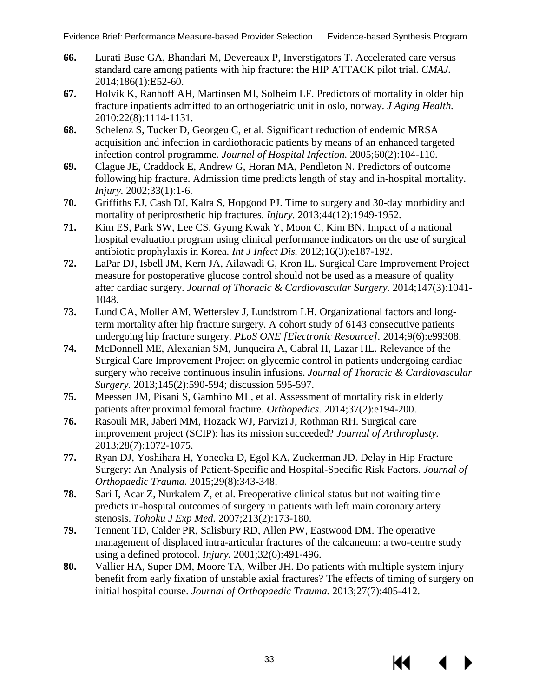- <span id="page-36-0"></span>**66.** Lurati Buse GA, Bhandari M, Devereaux P, Inverstigators T. Accelerated care versus standard care among patients with hip fracture: the HIP ATTACK pilot trial. *CMAJ.* 2014;186(1):E52-60.
- <span id="page-36-14"></span><span id="page-36-1"></span>**67.** Holvik K, Ranhoff AH, Martinsen MI, Solheim LF. Predictors of mortality in older hip fracture inpatients admitted to an orthogeriatric unit in oslo, norway. *J Aging Health.* 2010;22(8):1114-1131.
- <span id="page-36-2"></span>**68.** Schelenz S, Tucker D, Georgeu C, et al. Significant reduction of endemic MRSA acquisition and infection in cardiothoracic patients by means of an enhanced targeted infection control programme. *Journal of Hospital Infection.* 2005;60(2):104-110.
- <span id="page-36-7"></span>**69.** Clague JE, Craddock E, Andrew G, Horan MA, Pendleton N. Predictors of outcome following hip fracture. Admission time predicts length of stay and in-hospital mortality. *Injury.* 2002;33(1):1-6.
- <span id="page-36-15"></span><span id="page-36-8"></span>**70.** Griffiths EJ, Cash DJ, Kalra S, Hopgood PJ. Time to surgery and 30-day morbidity and mortality of periprosthetic hip fractures. *Injury.* 2013;44(12):1949-1952.
- <span id="page-36-3"></span>**71.** Kim ES, Park SW, Lee CS, Gyung Kwak Y, Moon C, Kim BN. Impact of a national hospital evaluation program using clinical performance indicators on the use of surgical antibiotic prophylaxis in Korea. *Int J Infect Dis.* 2012;16(3):e187-192.
- <span id="page-36-4"></span>**72.** LaPar DJ, Isbell JM, Kern JA, Ailawadi G, Kron IL. Surgical Care Improvement Project measure for postoperative glucose control should not be used as a measure of quality after cardiac surgery. *Journal of Thoracic & Cardiovascular Surgery.* 2014;147(3):1041- 1048.
- <span id="page-36-9"></span>**73.** Lund CA, Moller AM, Wetterslev J, Lundstrom LH. Organizational factors and longterm mortality after hip fracture surgery. A cohort study of 6143 consecutive patients undergoing hip fracture surgery. *PLoS ONE [Electronic Resource].* 2014;9(6):e99308.
- <span id="page-36-5"></span>**74.** McDonnell ME, Alexanian SM, Junqueira A, Cabral H, Lazar HL. Relevance of the Surgical Care Improvement Project on glycemic control in patients undergoing cardiac surgery who receive continuous insulin infusions. *Journal of Thoracic & Cardiovascular Surgery.* 2013;145(2):590-594; discussion 595-597.
- <span id="page-36-10"></span>**75.** Meessen JM, Pisani S, Gambino ML, et al. Assessment of mortality risk in elderly patients after proximal femoral fracture. *Orthopedics.* 2014;37(2):e194-200.
- <span id="page-36-6"></span>**76.** Rasouli MR, Jaberi MM, Hozack WJ, Parvizi J, Rothman RH. Surgical care improvement project (SCIP): has its mission succeeded? *Journal of Arthroplasty.* 2013;28(7):1072-1075.
- <span id="page-36-11"></span>**77.** Ryan DJ, Yoshihara H, Yoneoka D, Egol KA, Zuckerman JD. Delay in Hip Fracture Surgery: An Analysis of Patient-Specific and Hospital-Specific Risk Factors. *Journal of Orthopaedic Trauma.* 2015;29(8):343-348.
- **78.** Sari I, Acar Z, Nurkalem Z, et al. Preoperative clinical status but not waiting time predicts in-hospital outcomes of surgery in patients with left main coronary artery stenosis. *Tohoku J Exp Med.* 2007;213(2):173-180.
- <span id="page-36-12"></span>**79.** Tennent TD, Calder PR, Salisbury RD, Allen PW, Eastwood DM. The operative management of displaced intra-articular fractures of the calcaneum: a two-centre study using a defined protocol. *Injury.* 2001;32(6):491-496.
- <span id="page-36-13"></span>**80.** Vallier HA, Super DM, Moore TA, Wilber JH. Do patients with multiple system injury benefit from early fixation of unstable axial fractures? The effects of timing of surgery on initial hospital course. *Journal of Orthopaedic Trauma.* 2013;27(7):405-412.

KK